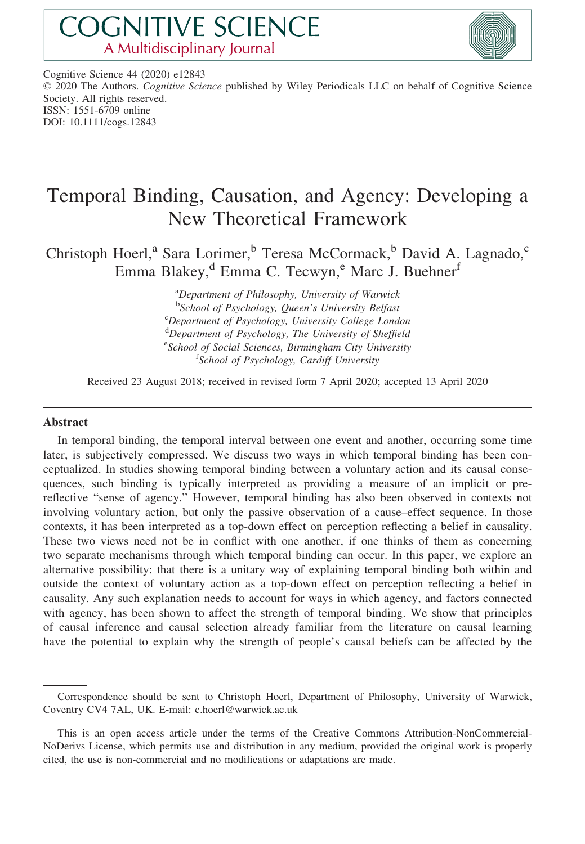# **COGNITIVE SCIENCE** A Multidisciplinary Journal



Cognitive Science 44 (2020) e12843 © 2020 The Authors. Cognitive Science published by Wiley Periodicals LLC on behalf of Cognitive Science Society. All rights reserved. ISSN: 1551-6709 online DOI: 10.1111/cogs.12843

# Temporal Binding, Causation, and Agency: Developing a New Theoretical Framework

Christoph Hoerl,<sup>a</sup> Sara Lorimer,<sup>b</sup> Teresa McCormack,<sup>b</sup> David A. Lagnado,<sup>c</sup> Emma Blakey, $d$  Emma C. Tecwyn, $e$  Marc J. Buehner<sup>f</sup>

> <sup>a</sup>Department of Philosophy, University of Warwick <sup>b</sup>School of Psychology, Queen's University Belfast<sup>c</sup>  ${}^c$ Department of Psychology, University College London <sup>d</sup>Department of Psychology, The University of Sheffield <sup>e</sup> School of Social Sciences, Birmingham City University<br>
> <sup>f</sup> School of Psychology, Cardiff University <sup>f</sup>School of Psychology, Cardiff University

Received 23 August 2018; received in revised form 7 April 2020; accepted 13 April 2020

#### Abstract

In temporal binding, the temporal interval between one event and another, occurring some time later, is subjectively compressed. We discuss two ways in which temporal binding has been conceptualized. In studies showing temporal binding between a voluntary action and its causal consequences, such binding is typically interpreted as providing a measure of an implicit or prereflective "sense of agency." However, temporal binding has also been observed in contexts not involving voluntary action, but only the passive observation of a cause–effect sequence. In those contexts, it has been interpreted as a top-down effect on perception reflecting a belief in causality. These two views need not be in conflict with one another, if one thinks of them as concerning two separate mechanisms through which temporal binding can occur. In this paper, we explore an alternative possibility: that there is a unitary way of explaining temporal binding both within and outside the context of voluntary action as a top-down effect on perception reflecting a belief in causality. Any such explanation needs to account for ways in which agency, and factors connected with agency, has been shown to affect the strength of temporal binding. We show that principles of causal inference and causal selection already familiar from the literature on causal learning have the potential to explain why the strength of people's causal beliefs can be affected by the

Correspondence should be sent to Christoph Hoerl, Department of Philosophy, University of Warwick, Coventry CV4 7AL, UK. E-mail: [c.hoerl@warwick.ac.uk](mailto:)

This is an open access article under the terms of the [Creative Commons Attribution-NonCommercial-](http://creativecommons.org/licenses/by-nc-nd/4.0/)[NoDerivs](http://creativecommons.org/licenses/by-nc-nd/4.0/) License, which permits use and distribution in any medium, provided the original work is properly cited, the use is non-commercial and no modifications or adaptations are made.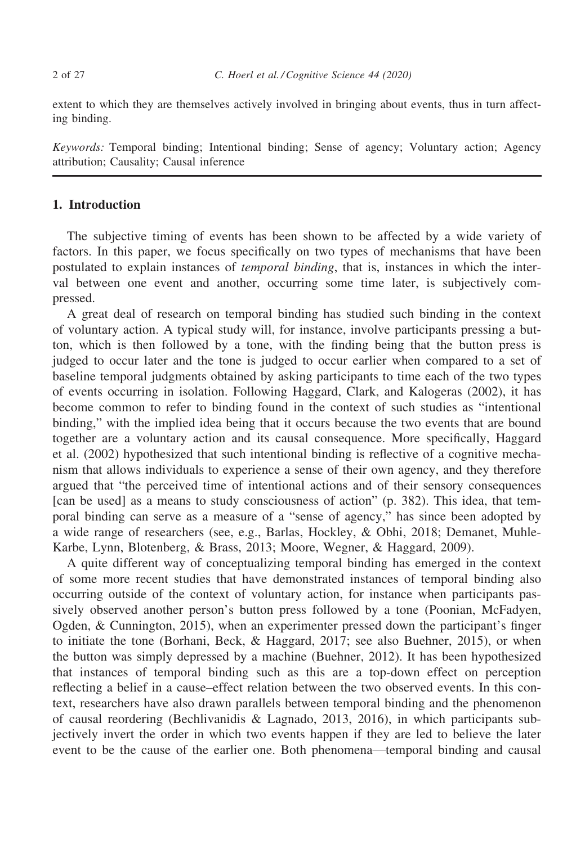extent to which they are themselves actively involved in bringing about events, thus in turn affecting binding.

Keywords: Temporal binding; Intentional binding; Sense of agency; Voluntary action; Agency attribution; Causality; Causal inference

#### 1. Introduction

The subjective timing of events has been shown to be affected by a wide variety of factors. In this paper, we focus specifically on two types of mechanisms that have been postulated to explain instances of temporal binding, that is, instances in which the interval between one event and another, occurring some time later, is subjectively compressed.

A great deal of research on temporal binding has studied such binding in the context of voluntary action. A typical study will, for instance, involve participants pressing a button, which is then followed by a tone, with the finding being that the button press is judged to occur later and the tone is judged to occur earlier when compared to a set of baseline temporal judgments obtained by asking participants to time each of the two types of events occurring in isolation. Following Haggard, Clark, and Kalogeras (2002), it has become common to refer to binding found in the context of such studies as "intentional binding," with the implied idea being that it occurs because the two events that are bound together are a voluntary action and its causal consequence. More specifically, Haggard et al. (2002) hypothesized that such intentional binding is reflective of a cognitive mechanism that allows individuals to experience a sense of their own agency, and they therefore argued that "the perceived time of intentional actions and of their sensory consequences [can be used] as a means to study consciousness of action" (p. 382). This idea, that temporal binding can serve as a measure of a "sense of agency," has since been adopted by a wide range of researchers (see, e.g., Barlas, Hockley, & Obhi, 2018; Demanet, Muhle-Karbe, Lynn, Blotenberg, & Brass, 2013; Moore, Wegner, & Haggard, 2009).

A quite different way of conceptualizing temporal binding has emerged in the context of some more recent studies that have demonstrated instances of temporal binding also occurring outside of the context of voluntary action, for instance when participants passively observed another person's button press followed by a tone (Poonian, McFadyen, Ogden, & Cunnington, 2015), when an experimenter pressed down the participant's finger to initiate the tone (Borhani, Beck, & Haggard, 2017; see also Buehner, 2015), or when the button was simply depressed by a machine (Buehner, 2012). It has been hypothesized that instances of temporal binding such as this are a top-down effect on perception reflecting a belief in a cause–effect relation between the two observed events. In this context, researchers have also drawn parallels between temporal binding and the phenomenon of causal reordering (Bechlivanidis & Lagnado, 2013, 2016), in which participants subjectively invert the order in which two events happen if they are led to believe the later event to be the cause of the earlier one. Both phenomena—temporal binding and causal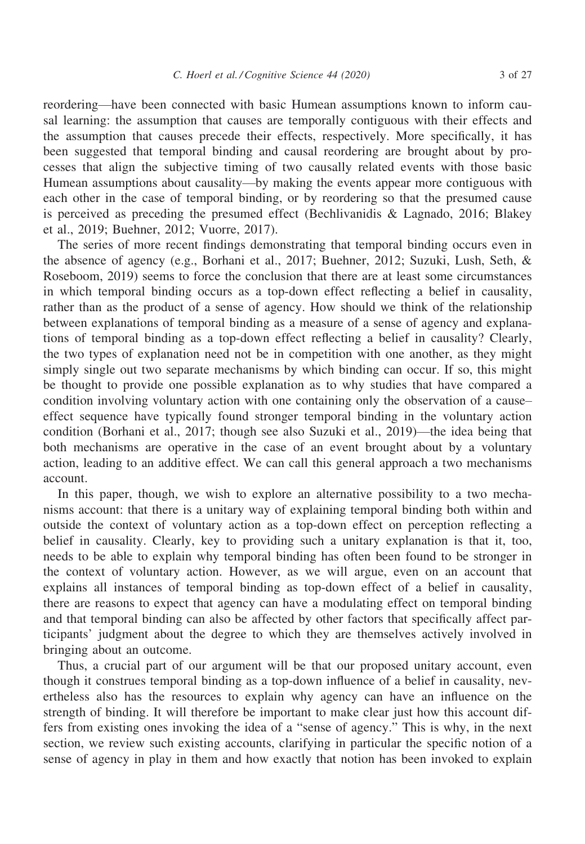reordering—have been connected with basic Humean assumptions known to inform causal learning: the assumption that causes are temporally contiguous with their effects and the assumption that causes precede their effects, respectively. More specifically, it has been suggested that temporal binding and causal reordering are brought about by processes that align the subjective timing of two causally related events with those basic Humean assumptions about causality—by making the events appear more contiguous with each other in the case of temporal binding, or by reordering so that the presumed cause is perceived as preceding the presumed effect (Bechlivanidis & Lagnado, 2016; Blakey et al., 2019; Buehner, 2012; Vuorre, 2017).

The series of more recent findings demonstrating that temporal binding occurs even in the absence of agency (e.g., Borhani et al., 2017; Buehner, 2012; Suzuki, Lush, Seth, & Roseboom, 2019) seems to force the conclusion that there are at least some circumstances in which temporal binding occurs as a top-down effect reflecting a belief in causality, rather than as the product of a sense of agency. How should we think of the relationship between explanations of temporal binding as a measure of a sense of agency and explanations of temporal binding as a top-down effect reflecting a belief in causality? Clearly, the two types of explanation need not be in competition with one another, as they might simply single out two separate mechanisms by which binding can occur. If so, this might be thought to provide one possible explanation as to why studies that have compared a condition involving voluntary action with one containing only the observation of a cause– effect sequence have typically found stronger temporal binding in the voluntary action condition (Borhani et al., 2017; though see also Suzuki et al., 2019)—the idea being that both mechanisms are operative in the case of an event brought about by a voluntary action, leading to an additive effect. We can call this general approach a two mechanisms account.

In this paper, though, we wish to explore an alternative possibility to a two mechanisms account: that there is a unitary way of explaining temporal binding both within and outside the context of voluntary action as a top-down effect on perception reflecting a belief in causality. Clearly, key to providing such a unitary explanation is that it, too, needs to be able to explain why temporal binding has often been found to be stronger in the context of voluntary action. However, as we will argue, even on an account that explains all instances of temporal binding as top-down effect of a belief in causality, there are reasons to expect that agency can have a modulating effect on temporal binding and that temporal binding can also be affected by other factors that specifically affect participants' judgment about the degree to which they are themselves actively involved in bringing about an outcome.

Thus, a crucial part of our argument will be that our proposed unitary account, even though it construes temporal binding as a top-down influence of a belief in causality, nevertheless also has the resources to explain why agency can have an influence on the strength of binding. It will therefore be important to make clear just how this account differs from existing ones invoking the idea of a "sense of agency." This is why, in the next section, we review such existing accounts, clarifying in particular the specific notion of a sense of agency in play in them and how exactly that notion has been invoked to explain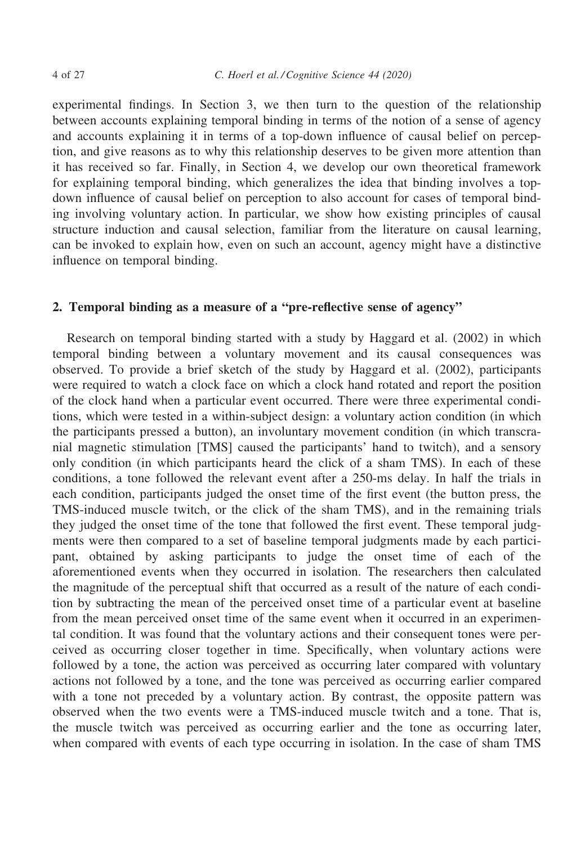experimental findings. In Section 3, we then turn to the question of the relationship between accounts explaining temporal binding in terms of the notion of a sense of agency and accounts explaining it in terms of a top-down influence of causal belief on perception, and give reasons as to why this relationship deserves to be given more attention than it has received so far. Finally, in Section 4, we develop our own theoretical framework for explaining temporal binding, which generalizes the idea that binding involves a topdown influence of causal belief on perception to also account for cases of temporal binding involving voluntary action. In particular, we show how existing principles of causal structure induction and causal selection, familiar from the literature on causal learning, can be invoked to explain how, even on such an account, agency might have a distinctive influence on temporal binding.

#### 2. Temporal binding as a measure of a "pre-reflective sense of agency"

Research on temporal binding started with a study by Haggard et al. (2002) in which temporal binding between a voluntary movement and its causal consequences was observed. To provide a brief sketch of the study by Haggard et al. (2002), participants were required to watch a clock face on which a clock hand rotated and report the position of the clock hand when a particular event occurred. There were three experimental conditions, which were tested in a within-subject design: a voluntary action condition (in which the participants pressed a button), an involuntary movement condition (in which transcranial magnetic stimulation [TMS] caused the participants' hand to twitch), and a sensory only condition (in which participants heard the click of a sham TMS). In each of these conditions, a tone followed the relevant event after a 250-ms delay. In half the trials in each condition, participants judged the onset time of the first event (the button press, the TMS-induced muscle twitch, or the click of the sham TMS), and in the remaining trials they judged the onset time of the tone that followed the first event. These temporal judgments were then compared to a set of baseline temporal judgments made by each participant, obtained by asking participants to judge the onset time of each of the aforementioned events when they occurred in isolation. The researchers then calculated the magnitude of the perceptual shift that occurred as a result of the nature of each condition by subtracting the mean of the perceived onset time of a particular event at baseline from the mean perceived onset time of the same event when it occurred in an experimental condition. It was found that the voluntary actions and their consequent tones were perceived as occurring closer together in time. Specifically, when voluntary actions were followed by a tone, the action was perceived as occurring later compared with voluntary actions not followed by a tone, and the tone was perceived as occurring earlier compared with a tone not preceded by a voluntary action. By contrast, the opposite pattern was observed when the two events were a TMS-induced muscle twitch and a tone. That is, the muscle twitch was perceived as occurring earlier and the tone as occurring later, when compared with events of each type occurring in isolation. In the case of sham TMS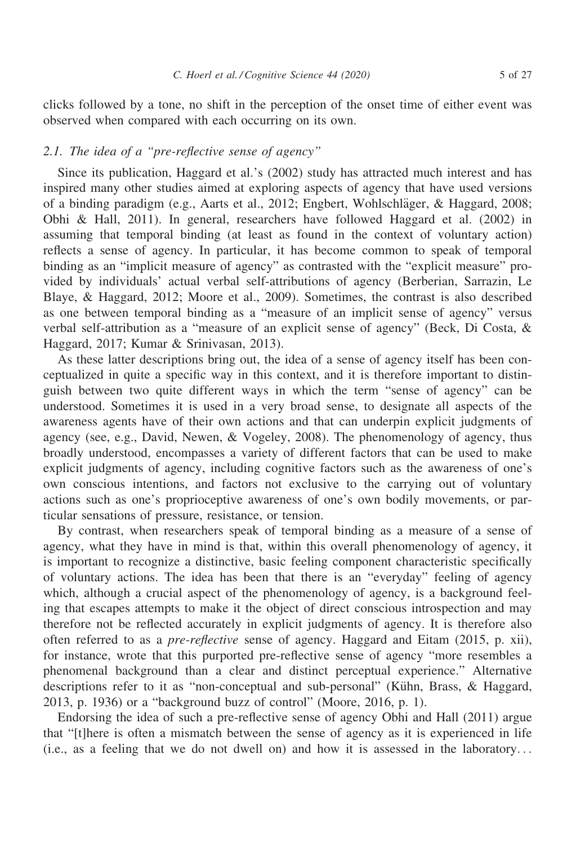clicks followed by a tone, no shift in the perception of the onset time of either event was observed when compared with each occurring on its own.

#### 2.1. The idea of a "pre-reflective sense of agency"

Since its publication, Haggard et al.'s (2002) study has attracted much interest and has inspired many other studies aimed at exploring aspects of agency that have used versions of a binding paradigm (e.g., Aarts et al., 2012; Engbert, Wohlschläger, & Haggard, 2008; Obhi & Hall, 2011). In general, researchers have followed Haggard et al. (2002) in assuming that temporal binding (at least as found in the context of voluntary action) reflects a sense of agency. In particular, it has become common to speak of temporal binding as an "implicit measure of agency" as contrasted with the "explicit measure" provided by individuals' actual verbal self-attributions of agency (Berberian, Sarrazin, Le Blaye, & Haggard, 2012; Moore et al., 2009). Sometimes, the contrast is also described as one between temporal binding as a "measure of an implicit sense of agency" versus verbal self-attribution as a "measure of an explicit sense of agency" (Beck, Di Costa, & Haggard, 2017; Kumar & Srinivasan, 2013).

As these latter descriptions bring out, the idea of a sense of agency itself has been conceptualized in quite a specific way in this context, and it is therefore important to distinguish between two quite different ways in which the term "sense of agency" can be understood. Sometimes it is used in a very broad sense, to designate all aspects of the awareness agents have of their own actions and that can underpin explicit judgments of agency (see, e.g., David, Newen, & Vogeley, 2008). The phenomenology of agency, thus broadly understood, encompasses a variety of different factors that can be used to make explicit judgments of agency, including cognitive factors such as the awareness of one's own conscious intentions, and factors not exclusive to the carrying out of voluntary actions such as one's proprioceptive awareness of one's own bodily movements, or particular sensations of pressure, resistance, or tension.

By contrast, when researchers speak of temporal binding as a measure of a sense of agency, what they have in mind is that, within this overall phenomenology of agency, it is important to recognize a distinctive, basic feeling component characteristic specifically of voluntary actions. The idea has been that there is an "everyday" feeling of agency which, although a crucial aspect of the phenomenology of agency, is a background feeling that escapes attempts to make it the object of direct conscious introspection and may therefore not be reflected accurately in explicit judgments of agency. It is therefore also often referred to as a pre-reflective sense of agency. Haggard and Eitam (2015, p. xii), for instance, wrote that this purported pre-reflective sense of agency "more resembles a phenomenal background than a clear and distinct perceptual experience." Alternative descriptions refer to it as "non-conceptual and sub-personal" (Kühn, Brass, & Haggard, 2013, p. 1936) or a "background buzz of control" (Moore, 2016, p. 1).

Endorsing the idea of such a pre-reflective sense of agency Obhi and Hall (2011) argue that "[t]here is often a mismatch between the sense of agency as it is experienced in life (i.e., as a feeling that we do not dwell on) and how it is assessed in the laboratory...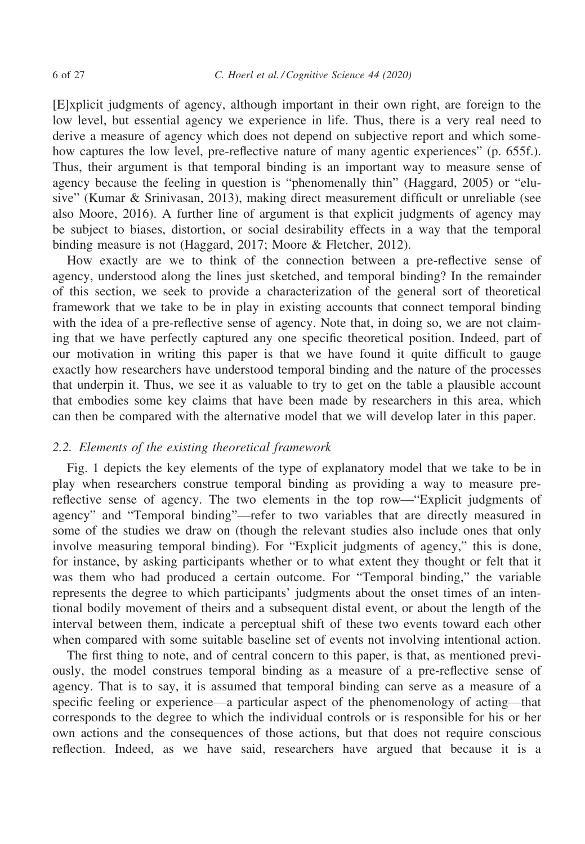[E]xplicit judgments of agency, although important in their own right, are foreign to the low level, but essential agency we experience in life. Thus, there is a very real need to derive a measure of agency which does not depend on subjective report and which somehow captures the low level, pre-reflective nature of many agentic experiences" (p. 655f.). Thus, their argument is that temporal binding is an important way to measure sense of agency because the feeling in question is "phenomenally thin" (Haggard, 2005) or "elusive" (Kumar & Srinivasan, 2013), making direct measurement difficult or unreliable (see also Moore, 2016). A further line of argument is that explicit judgments of agency may be subject to biases, distortion, or social desirability effects in a way that the temporal binding measure is not (Haggard, 2017; Moore & Fletcher, 2012).

How exactly are we to think of the connection between a pre-reflective sense of agency, understood along the lines just sketched, and temporal binding? In the remainder of this section, we seek to provide a characterization of the general sort of theoretical framework that we take to be in play in existing accounts that connect temporal binding with the idea of a pre-reflective sense of agency. Note that, in doing so, we are not claiming that we have perfectly captured any one specific theoretical position. Indeed, part of our motivation in writing this paper is that we have found it quite difficult to gauge exactly how researchers have understood temporal binding and the nature of the processes that underpin it. Thus, we see it as valuable to try to get on the table a plausible account that embodies some key claims that have been made by researchers in this area, which can then be compared with the alternative model that we will develop later in this paper.

#### 2.2. Elements of the existing theoretical framework

Fig. 1 depicts the key elements of the type of explanatory model that we take to be in play when researchers construe temporal binding as providing a way to measure prereflective sense of agency. The two elements in the top row—"Explicit judgments of agency" and "Temporal binding"—refer to two variables that are directly measured in some of the studies we draw on (though the relevant studies also include ones that only involve measuring temporal binding). For "Explicit judgments of agency," this is done, for instance, by asking participants whether or to what extent they thought or felt that it was them who had produced a certain outcome. For "Temporal binding," the variable represents the degree to which participants' judgments about the onset times of an intentional bodily movement of theirs and a subsequent distal event, or about the length of the interval between them, indicate a perceptual shift of these two events toward each other when compared with some suitable baseline set of events not involving intentional action.

The first thing to note, and of central concern to this paper, is that, as mentioned previously, the model construes temporal binding as a measure of a pre-reflective sense of agency. That is to say, it is assumed that temporal binding can serve as a measure of a specific feeling or experience—a particular aspect of the phenomenology of acting—that corresponds to the degree to which the individual controls or is responsible for his or her own actions and the consequences of those actions, but that does not require conscious reflection. Indeed, as we have said, researchers have argued that because it is a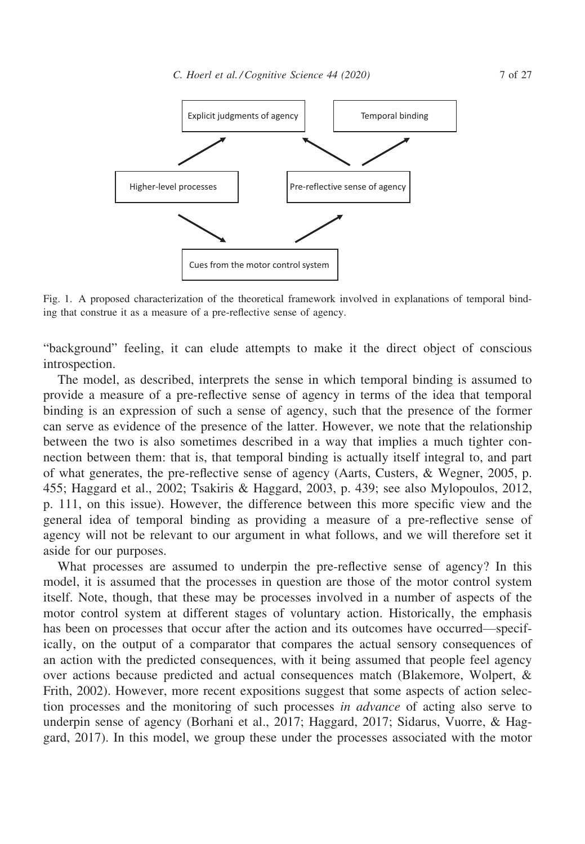

Fig. 1. A proposed characterization of the theoretical framework involved in explanations of temporal binding that construe it as a measure of a pre-reflective sense of agency.

"background" feeling, it can elude attempts to make it the direct object of conscious introspection.

The model, as described, interprets the sense in which temporal binding is assumed to provide a measure of a pre-reflective sense of agency in terms of the idea that temporal binding is an expression of such a sense of agency, such that the presence of the former can serve as evidence of the presence of the latter. However, we note that the relationship between the two is also sometimes described in a way that implies a much tighter connection between them: that is, that temporal binding is actually itself integral to, and part of what generates, the pre-reflective sense of agency (Aarts, Custers, & Wegner, 2005, p. 455; Haggard et al., 2002; Tsakiris & Haggard, 2003, p. 439; see also Mylopoulos, 2012, p. 111, on this issue). However, the difference between this more specific view and the general idea of temporal binding as providing a measure of a pre-reflective sense of agency will not be relevant to our argument in what follows, and we will therefore set it aside for our purposes.

What processes are assumed to underpin the pre-reflective sense of agency? In this model, it is assumed that the processes in question are those of the motor control system itself. Note, though, that these may be processes involved in a number of aspects of the motor control system at different stages of voluntary action. Historically, the emphasis has been on processes that occur after the action and its outcomes have occurred—specifically, on the output of a comparator that compares the actual sensory consequences of an action with the predicted consequences, with it being assumed that people feel agency over actions because predicted and actual consequences match (Blakemore, Wolpert, & Frith, 2002). However, more recent expositions suggest that some aspects of action selection processes and the monitoring of such processes in advance of acting also serve to underpin sense of agency (Borhani et al., 2017; Haggard, 2017; Sidarus, Vuorre, & Haggard, 2017). In this model, we group these under the processes associated with the motor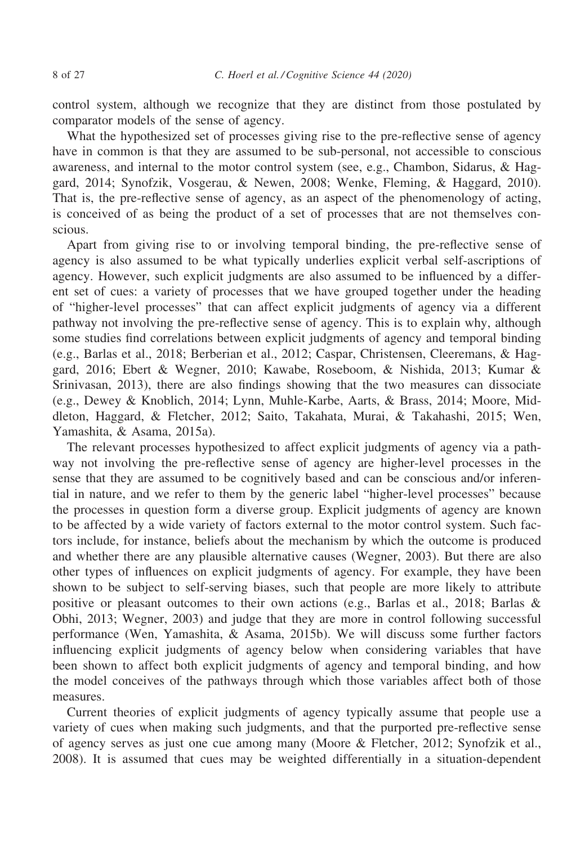control system, although we recognize that they are distinct from those postulated by comparator models of the sense of agency.

What the hypothesized set of processes giving rise to the pre-reflective sense of agency have in common is that they are assumed to be sub-personal, not accessible to conscious awareness, and internal to the motor control system (see, e.g., Chambon, Sidarus, & Haggard, 2014; Synofzik, Vosgerau, & Newen, 2008; Wenke, Fleming, & Haggard, 2010). That is, the pre-reflective sense of agency, as an aspect of the phenomenology of acting, is conceived of as being the product of a set of processes that are not themselves conscious.

Apart from giving rise to or involving temporal binding, the pre-reflective sense of agency is also assumed to be what typically underlies explicit verbal self-ascriptions of agency. However, such explicit judgments are also assumed to be influenced by a different set of cues: a variety of processes that we have grouped together under the heading of "higher-level processes" that can affect explicit judgments of agency via a different pathway not involving the pre-reflective sense of agency. This is to explain why, although some studies find correlations between explicit judgments of agency and temporal binding (e.g., Barlas et al., 2018; Berberian et al., 2012; Caspar, Christensen, Cleeremans, & Haggard, 2016; Ebert & Wegner, 2010; Kawabe, Roseboom, & Nishida, 2013; Kumar & Srinivasan, 2013), there are also findings showing that the two measures can dissociate (e.g., Dewey & Knoblich, 2014; Lynn, Muhle-Karbe, Aarts, & Brass, 2014; Moore, Middleton, Haggard, & Fletcher, 2012; Saito, Takahata, Murai, & Takahashi, 2015; Wen, Yamashita, & Asama, 2015a).

The relevant processes hypothesized to affect explicit judgments of agency via a pathway not involving the pre-reflective sense of agency are higher-level processes in the sense that they are assumed to be cognitively based and can be conscious and/or inferential in nature, and we refer to them by the generic label "higher-level processes" because the processes in question form a diverse group. Explicit judgments of agency are known to be affected by a wide variety of factors external to the motor control system. Such factors include, for instance, beliefs about the mechanism by which the outcome is produced and whether there are any plausible alternative causes (Wegner, 2003). But there are also other types of influences on explicit judgments of agency. For example, they have been shown to be subject to self-serving biases, such that people are more likely to attribute positive or pleasant outcomes to their own actions (e.g., Barlas et al., 2018; Barlas & Obhi, 2013; Wegner, 2003) and judge that they are more in control following successful performance (Wen, Yamashita, & Asama, 2015b). We will discuss some further factors influencing explicit judgments of agency below when considering variables that have been shown to affect both explicit judgments of agency and temporal binding, and how the model conceives of the pathways through which those variables affect both of those measures.

Current theories of explicit judgments of agency typically assume that people use a variety of cues when making such judgments, and that the purported pre-reflective sense of agency serves as just one cue among many (Moore & Fletcher, 2012; Synofzik et al., 2008). It is assumed that cues may be weighted differentially in a situation-dependent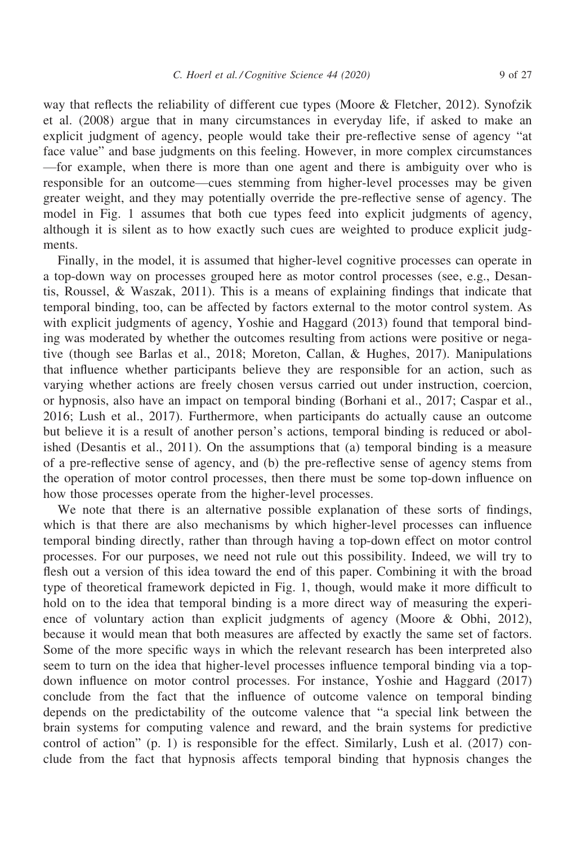way that reflects the reliability of different cue types (Moore & Fletcher, 2012). Synofzik et al. (2008) argue that in many circumstances in everyday life, if asked to make an explicit judgment of agency, people would take their pre-reflective sense of agency "at face value" and base judgments on this feeling. However, in more complex circumstances —for example, when there is more than one agent and there is ambiguity over who is responsible for an outcome—cues stemming from higher-level processes may be given greater weight, and they may potentially override the pre-reflective sense of agency. The model in Fig. 1 assumes that both cue types feed into explicit judgments of agency, although it is silent as to how exactly such cues are weighted to produce explicit judgments.

Finally, in the model, it is assumed that higher-level cognitive processes can operate in a top-down way on processes grouped here as motor control processes (see, e.g., Desantis, Roussel, & Waszak, 2011). This is a means of explaining findings that indicate that temporal binding, too, can be affected by factors external to the motor control system. As with explicit judgments of agency, Yoshie and Haggard (2013) found that temporal binding was moderated by whether the outcomes resulting from actions were positive or negative (though see Barlas et al., 2018; Moreton, Callan, & Hughes, 2017). Manipulations that influence whether participants believe they are responsible for an action, such as varying whether actions are freely chosen versus carried out under instruction, coercion, or hypnosis, also have an impact on temporal binding (Borhani et al., 2017; Caspar et al., 2016; Lush et al., 2017). Furthermore, when participants do actually cause an outcome but believe it is a result of another person's actions, temporal binding is reduced or abolished (Desantis et al., 2011). On the assumptions that (a) temporal binding is a measure of a pre-reflective sense of agency, and (b) the pre-reflective sense of agency stems from the operation of motor control processes, then there must be some top-down influence on how those processes operate from the higher-level processes.

We note that there is an alternative possible explanation of these sorts of findings, which is that there are also mechanisms by which higher-level processes can influence temporal binding directly, rather than through having a top-down effect on motor control processes. For our purposes, we need not rule out this possibility. Indeed, we will try to flesh out a version of this idea toward the end of this paper. Combining it with the broad type of theoretical framework depicted in Fig. 1, though, would make it more difficult to hold on to the idea that temporal binding is a more direct way of measuring the experience of voluntary action than explicit judgments of agency (Moore & Obhi, 2012), because it would mean that both measures are affected by exactly the same set of factors. Some of the more specific ways in which the relevant research has been interpreted also seem to turn on the idea that higher-level processes influence temporal binding via a topdown influence on motor control processes. For instance, Yoshie and Haggard (2017) conclude from the fact that the influence of outcome valence on temporal binding depends on the predictability of the outcome valence that "a special link between the brain systems for computing valence and reward, and the brain systems for predictive control of action"  $(p, 1)$  is responsible for the effect. Similarly, Lush et al. (2017) conclude from the fact that hypnosis affects temporal binding that hypnosis changes the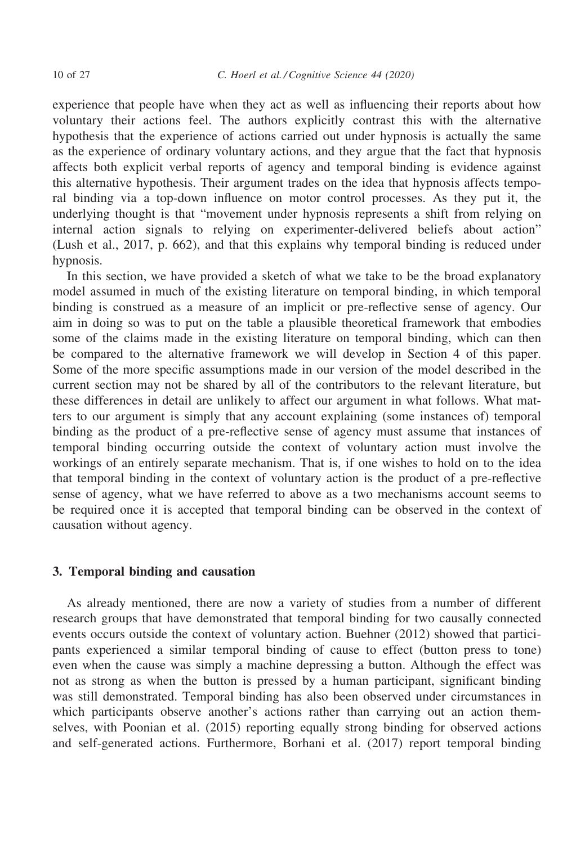experience that people have when they act as well as influencing their reports about how voluntary their actions feel. The authors explicitly contrast this with the alternative hypothesis that the experience of actions carried out under hypnosis is actually the same as the experience of ordinary voluntary actions, and they argue that the fact that hypnosis affects both explicit verbal reports of agency and temporal binding is evidence against this alternative hypothesis. Their argument trades on the idea that hypnosis affects temporal binding via a top-down influence on motor control processes. As they put it, the underlying thought is that "movement under hypnosis represents a shift from relying on internal action signals to relying on experimenter-delivered beliefs about action" (Lush et al., 2017, p. 662), and that this explains why temporal binding is reduced under hypnosis.

In this section, we have provided a sketch of what we take to be the broad explanatory model assumed in much of the existing literature on temporal binding, in which temporal binding is construed as a measure of an implicit or pre-reflective sense of agency. Our aim in doing so was to put on the table a plausible theoretical framework that embodies some of the claims made in the existing literature on temporal binding, which can then be compared to the alternative framework we will develop in Section 4 of this paper. Some of the more specific assumptions made in our version of the model described in the current section may not be shared by all of the contributors to the relevant literature, but these differences in detail are unlikely to affect our argument in what follows. What matters to our argument is simply that any account explaining (some instances of) temporal binding as the product of a pre-reflective sense of agency must assume that instances of temporal binding occurring outside the context of voluntary action must involve the workings of an entirely separate mechanism. That is, if one wishes to hold on to the idea that temporal binding in the context of voluntary action is the product of a pre-reflective sense of agency, what we have referred to above as a two mechanisms account seems to be required once it is accepted that temporal binding can be observed in the context of causation without agency.

### 3. Temporal binding and causation

As already mentioned, there are now a variety of studies from a number of different research groups that have demonstrated that temporal binding for two causally connected events occurs outside the context of voluntary action. Buehner (2012) showed that participants experienced a similar temporal binding of cause to effect (button press to tone) even when the cause was simply a machine depressing a button. Although the effect was not as strong as when the button is pressed by a human participant, significant binding was still demonstrated. Temporal binding has also been observed under circumstances in which participants observe another's actions rather than carrying out an action themselves, with Poonian et al. (2015) reporting equally strong binding for observed actions and self-generated actions. Furthermore, Borhani et al. (2017) report temporal binding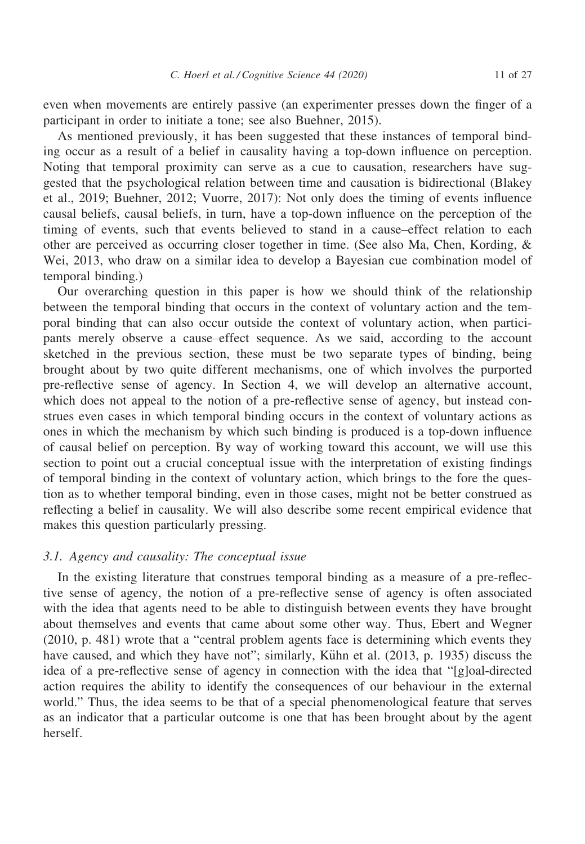even when movements are entirely passive (an experimenter presses down the finger of a participant in order to initiate a tone; see also Buehner, 2015).

As mentioned previously, it has been suggested that these instances of temporal binding occur as a result of a belief in causality having a top-down influence on perception. Noting that temporal proximity can serve as a cue to causation, researchers have suggested that the psychological relation between time and causation is bidirectional (Blakey et al., 2019; Buehner, 2012; Vuorre, 2017): Not only does the timing of events influence causal beliefs, causal beliefs, in turn, have a top-down influence on the perception of the timing of events, such that events believed to stand in a cause–effect relation to each other are perceived as occurring closer together in time. (See also Ma, Chen, Kording, & Wei, 2013, who draw on a similar idea to develop a Bayesian cue combination model of temporal binding.)

Our overarching question in this paper is how we should think of the relationship between the temporal binding that occurs in the context of voluntary action and the temporal binding that can also occur outside the context of voluntary action, when participants merely observe a cause–effect sequence. As we said, according to the account sketched in the previous section, these must be two separate types of binding, being brought about by two quite different mechanisms, one of which involves the purported pre-reflective sense of agency. In Section 4, we will develop an alternative account, which does not appeal to the notion of a pre-reflective sense of agency, but instead construes even cases in which temporal binding occurs in the context of voluntary actions as ones in which the mechanism by which such binding is produced is a top-down influence of causal belief on perception. By way of working toward this account, we will use this section to point out a crucial conceptual issue with the interpretation of existing findings of temporal binding in the context of voluntary action, which brings to the fore the question as to whether temporal binding, even in those cases, might not be better construed as reflecting a belief in causality. We will also describe some recent empirical evidence that makes this question particularly pressing.

#### 3.1. Agency and causality: The conceptual issue

In the existing literature that construes temporal binding as a measure of a pre-reflective sense of agency, the notion of a pre-reflective sense of agency is often associated with the idea that agents need to be able to distinguish between events they have brought about themselves and events that came about some other way. Thus, Ebert and Wegner (2010, p. 481) wrote that a "central problem agents face is determining which events they have caused, and which they have not"; similarly, Kühn et al. (2013, p. 1935) discuss the idea of a pre-reflective sense of agency in connection with the idea that "[g]oal-directed action requires the ability to identify the consequences of our behaviour in the external world." Thus, the idea seems to be that of a special phenomenological feature that serves as an indicator that a particular outcome is one that has been brought about by the agent herself.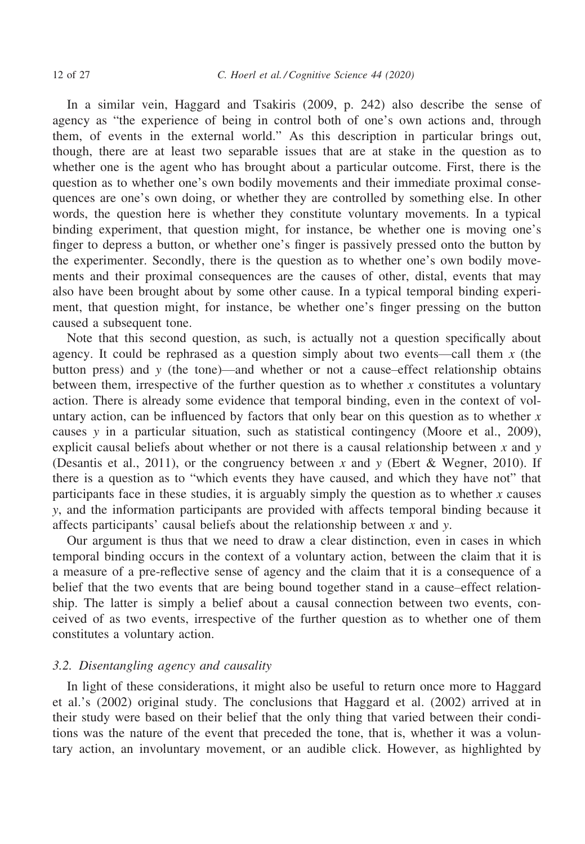In a similar vein, Haggard and Tsakiris (2009, p. 242) also describe the sense of agency as "the experience of being in control both of one's own actions and, through them, of events in the external world." As this description in particular brings out, though, there are at least two separable issues that are at stake in the question as to whether one is the agent who has brought about a particular outcome. First, there is the question as to whether one's own bodily movements and their immediate proximal consequences are one's own doing, or whether they are controlled by something else. In other words, the question here is whether they constitute voluntary movements. In a typical binding experiment, that question might, for instance, be whether one is moving one's finger to depress a button, or whether one's finger is passively pressed onto the button by the experimenter. Secondly, there is the question as to whether one's own bodily movements and their proximal consequences are the causes of other, distal, events that may also have been brought about by some other cause. In a typical temporal binding experiment, that question might, for instance, be whether one's finger pressing on the button caused a subsequent tone.

Note that this second question, as such, is actually not a question specifically about agency. It could be rephrased as a question simply about two events—call them  $x$  (the button press) and  $y$  (the tone)—and whether or not a cause–effect relationship obtains between them, irrespective of the further question as to whether  $x$  constitutes a voluntary action. There is already some evidence that temporal binding, even in the context of voluntary action, can be influenced by factors that only bear on this question as to whether  $x$ causes y in a particular situation, such as statistical contingency (Moore et al., 2009), explicit causal beliefs about whether or not there is a causal relationship between  $x$  and  $y$ (Desantis et al., 2011), or the congruency between x and y (Ebert & Wegner, 2010). If there is a question as to "which events they have caused, and which they have not" that participants face in these studies, it is arguably simply the question as to whether  $x$  causes y, and the information participants are provided with affects temporal binding because it affects participants' causal beliefs about the relationship between  $x$  and  $y$ .

Our argument is thus that we need to draw a clear distinction, even in cases in which temporal binding occurs in the context of a voluntary action, between the claim that it is a measure of a pre-reflective sense of agency and the claim that it is a consequence of a belief that the two events that are being bound together stand in a cause–effect relationship. The latter is simply a belief about a causal connection between two events, conceived of as two events, irrespective of the further question as to whether one of them constitutes a voluntary action.

## 3.2. Disentangling agency and causality

In light of these considerations, it might also be useful to return once more to Haggard et al.'s (2002) original study. The conclusions that Haggard et al. (2002) arrived at in their study were based on their belief that the only thing that varied between their conditions was the nature of the event that preceded the tone, that is, whether it was a voluntary action, an involuntary movement, or an audible click. However, as highlighted by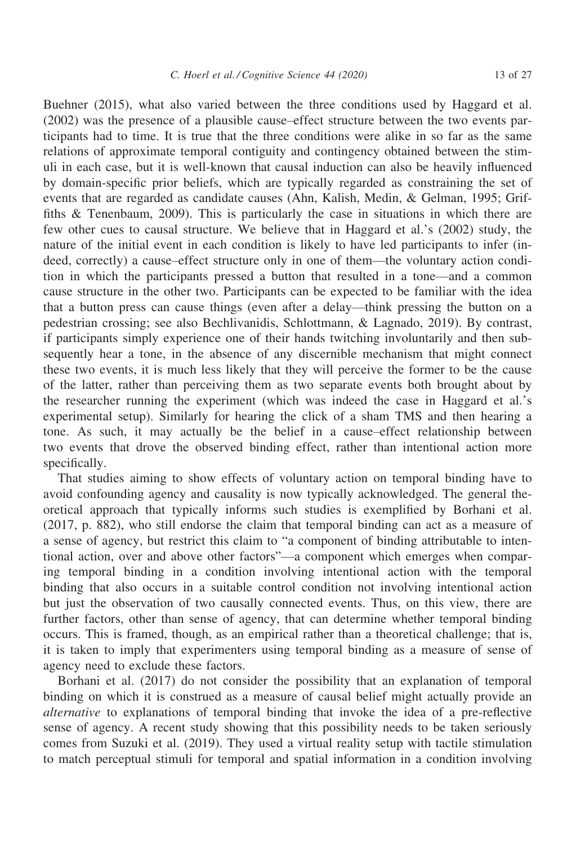Buehner (2015), what also varied between the three conditions used by Haggard et al. (2002) was the presence of a plausible cause–effect structure between the two events participants had to time. It is true that the three conditions were alike in so far as the same relations of approximate temporal contiguity and contingency obtained between the stimuli in each case, but it is well-known that causal induction can also be heavily influenced by domain-specific prior beliefs, which are typically regarded as constraining the set of events that are regarded as candidate causes (Ahn, Kalish, Medin, & Gelman, 1995; Griffiths & Tenenbaum, 2009). This is particularly the case in situations in which there are few other cues to causal structure. We believe that in Haggard et al.'s (2002) study, the nature of the initial event in each condition is likely to have led participants to infer (indeed, correctly) a cause–effect structure only in one of them—the voluntary action condition in which the participants pressed a button that resulted in a tone—and a common cause structure in the other two. Participants can be expected to be familiar with the idea that a button press can cause things (even after a delay—think pressing the button on a pedestrian crossing; see also Bechlivanidis, Schlottmann, & Lagnado, 2019). By contrast, if participants simply experience one of their hands twitching involuntarily and then subsequently hear a tone, in the absence of any discernible mechanism that might connect these two events, it is much less likely that they will perceive the former to be the cause of the latter, rather than perceiving them as two separate events both brought about by the researcher running the experiment (which was indeed the case in Haggard et al.'s experimental setup). Similarly for hearing the click of a sham TMS and then hearing a tone. As such, it may actually be the belief in a cause–effect relationship between two events that drove the observed binding effect, rather than intentional action more specifically.

That studies aiming to show effects of voluntary action on temporal binding have to avoid confounding agency and causality is now typically acknowledged. The general theoretical approach that typically informs such studies is exemplified by Borhani et al. (2017, p. 882), who still endorse the claim that temporal binding can act as a measure of a sense of agency, but restrict this claim to "a component of binding attributable to intentional action, over and above other factors"—a component which emerges when comparing temporal binding in a condition involving intentional action with the temporal binding that also occurs in a suitable control condition not involving intentional action but just the observation of two causally connected events. Thus, on this view, there are further factors, other than sense of agency, that can determine whether temporal binding occurs. This is framed, though, as an empirical rather than a theoretical challenge; that is, it is taken to imply that experimenters using temporal binding as a measure of sense of agency need to exclude these factors.

Borhani et al. (2017) do not consider the possibility that an explanation of temporal binding on which it is construed as a measure of causal belief might actually provide an alternative to explanations of temporal binding that invoke the idea of a pre-reflective sense of agency. A recent study showing that this possibility needs to be taken seriously comes from Suzuki et al. (2019). They used a virtual reality setup with tactile stimulation to match perceptual stimuli for temporal and spatial information in a condition involving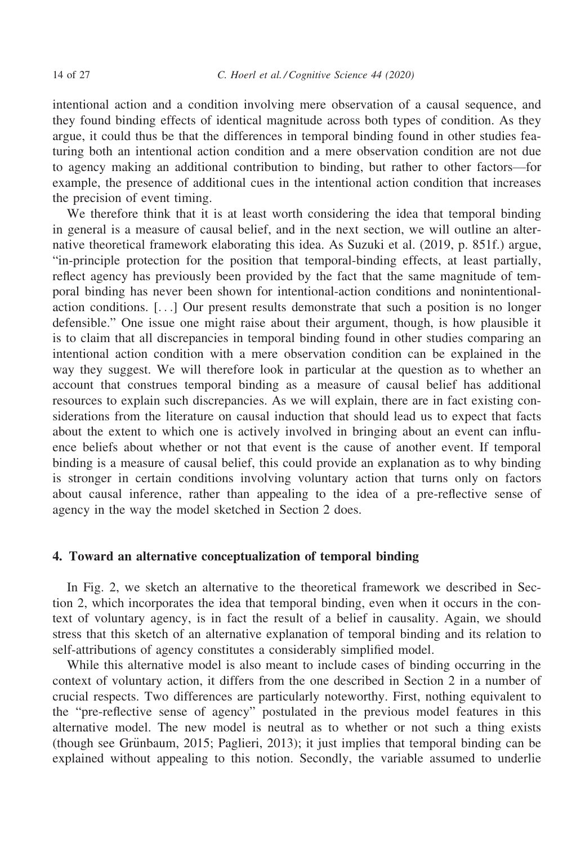intentional action and a condition involving mere observation of a causal sequence, and they found binding effects of identical magnitude across both types of condition. As they argue, it could thus be that the differences in temporal binding found in other studies featuring both an intentional action condition and a mere observation condition are not due to agency making an additional contribution to binding, but rather to other factors—for example, the presence of additional cues in the intentional action condition that increases the precision of event timing.

We therefore think that it is at least worth considering the idea that temporal binding in general is a measure of causal belief, and in the next section, we will outline an alternative theoretical framework elaborating this idea. As Suzuki et al. (2019, p. 851f.) argue, "in-principle protection for the position that temporal-binding effects, at least partially, reflect agency has previously been provided by the fact that the same magnitude of temporal binding has never been shown for intentional-action conditions and nonintentionalaction conditions. [...] Our present results demonstrate that such a position is no longer defensible." One issue one might raise about their argument, though, is how plausible it is to claim that all discrepancies in temporal binding found in other studies comparing an intentional action condition with a mere observation condition can be explained in the way they suggest. We will therefore look in particular at the question as to whether an account that construes temporal binding as a measure of causal belief has additional resources to explain such discrepancies. As we will explain, there are in fact existing considerations from the literature on causal induction that should lead us to expect that facts about the extent to which one is actively involved in bringing about an event can influence beliefs about whether or not that event is the cause of another event. If temporal binding is a measure of causal belief, this could provide an explanation as to why binding is stronger in certain conditions involving voluntary action that turns only on factors about causal inference, rather than appealing to the idea of a pre-reflective sense of agency in the way the model sketched in Section 2 does.

#### 4. Toward an alternative conceptualization of temporal binding

In Fig. 2, we sketch an alternative to the theoretical framework we described in Section 2, which incorporates the idea that temporal binding, even when it occurs in the context of voluntary agency, is in fact the result of a belief in causality. Again, we should stress that this sketch of an alternative explanation of temporal binding and its relation to self-attributions of agency constitutes a considerably simplified model.

While this alternative model is also meant to include cases of binding occurring in the context of voluntary action, it differs from the one described in Section 2 in a number of crucial respects. Two differences are particularly noteworthy. First, nothing equivalent to the "pre-reflective sense of agency" postulated in the previous model features in this alternative model. The new model is neutral as to whether or not such a thing exists (though see Grünbaum, 2015; Paglieri, 2013); it just implies that temporal binding can be explained without appealing to this notion. Secondly, the variable assumed to underlie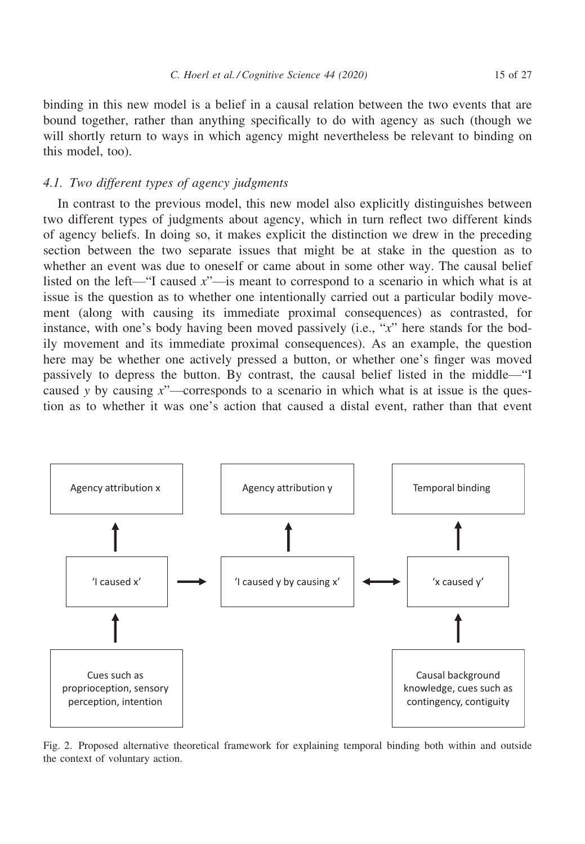binding in this new model is a belief in a causal relation between the two events that are bound together, rather than anything specifically to do with agency as such (though we will shortly return to ways in which agency might nevertheless be relevant to binding on this model, too).

## 4.1. Two different types of agency judgments

In contrast to the previous model, this new model also explicitly distinguishes between two different types of judgments about agency, which in turn reflect two different kinds of agency beliefs. In doing so, it makes explicit the distinction we drew in the preceding section between the two separate issues that might be at stake in the question as to whether an event was due to oneself or came about in some other way. The causal belief listed on the left—"I caused  $x$ "—is meant to correspond to a scenario in which what is at issue is the question as to whether one intentionally carried out a particular bodily movement (along with causing its immediate proximal consequences) as contrasted, for instance, with one's body having been moved passively (i.e., "x" here stands for the bodily movement and its immediate proximal consequences). As an example, the question here may be whether one actively pressed a button, or whether one's finger was moved passively to depress the button. By contrast, the causal belief listed in the middle—"I caused y by causing  $x^{\prime}$ —corresponds to a scenario in which what is at issue is the question as to whether it was one's action that caused a distal event, rather than that event



Fig. 2. Proposed alternative theoretical framework for explaining temporal binding both within and outside the context of voluntary action.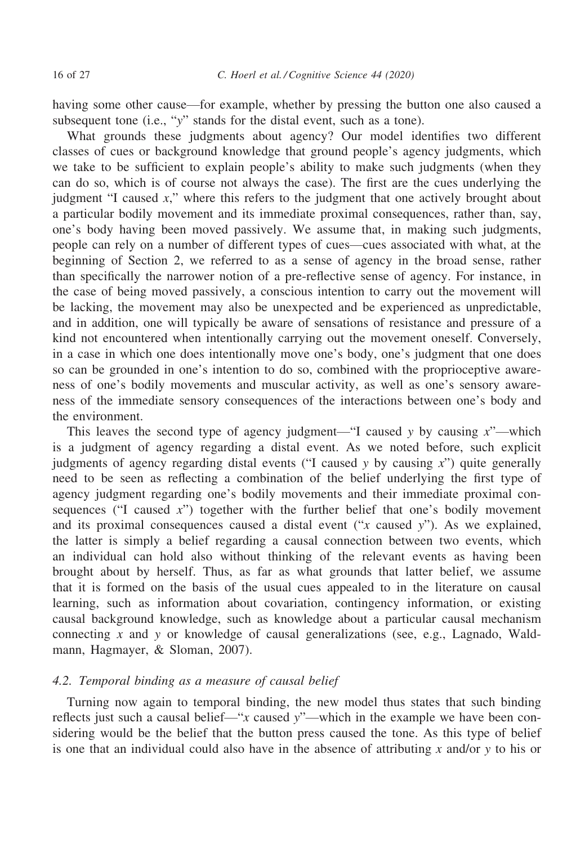having some other cause—for example, whether by pressing the button one also caused a subsequent tone (i.e., "y" stands for the distal event, such as a tone).

What grounds these judgments about agency? Our model identifies two different classes of cues or background knowledge that ground people's agency judgments, which we take to be sufficient to explain people's ability to make such judgments (when they can do so, which is of course not always the case). The first are the cues underlying the judgment "I caused x," where this refers to the judgment that one actively brought about a particular bodily movement and its immediate proximal consequences, rather than, say, one's body having been moved passively. We assume that, in making such judgments, people can rely on a number of different types of cues—cues associated with what, at the beginning of Section 2, we referred to as a sense of agency in the broad sense, rather than specifically the narrower notion of a pre-reflective sense of agency. For instance, in the case of being moved passively, a conscious intention to carry out the movement will be lacking, the movement may also be unexpected and be experienced as unpredictable, and in addition, one will typically be aware of sensations of resistance and pressure of a kind not encountered when intentionally carrying out the movement oneself. Conversely, in a case in which one does intentionally move one's body, one's judgment that one does so can be grounded in one's intention to do so, combined with the proprioceptive awareness of one's bodily movements and muscular activity, as well as one's sensory awareness of the immediate sensory consequences of the interactions between one's body and the environment.

This leaves the second type of agency judgment—"I caused y by causing  $x$ "—which is a judgment of agency regarding a distal event. As we noted before, such explicit judgments of agency regarding distal events ("I caused  $y$  by causing  $x$ ") quite generally need to be seen as reflecting a combination of the belief underlying the first type of agency judgment regarding one's bodily movements and their immediate proximal consequences ("I caused x") together with the further belief that one's bodily movement and its proximal consequences caused a distal event  $("x \text{ caused } y")$ . As we explained, the latter is simply a belief regarding a causal connection between two events, which an individual can hold also without thinking of the relevant events as having been brought about by herself. Thus, as far as what grounds that latter belief, we assume that it is formed on the basis of the usual cues appealed to in the literature on causal learning, such as information about covariation, contingency information, or existing causal background knowledge, such as knowledge about a particular causal mechanism connecting x and y or knowledge of causal generalizations (see, e.g., Lagnado, Waldmann, Hagmayer, & Sloman, 2007).

## 4.2. Temporal binding as a measure of causal belief

Turning now again to temporal binding, the new model thus states that such binding reflects just such a causal belief—"x caused y"—which in the example we have been considering would be the belief that the button press caused the tone. As this type of belief is one that an individual could also have in the absence of attributing x and/or y to his or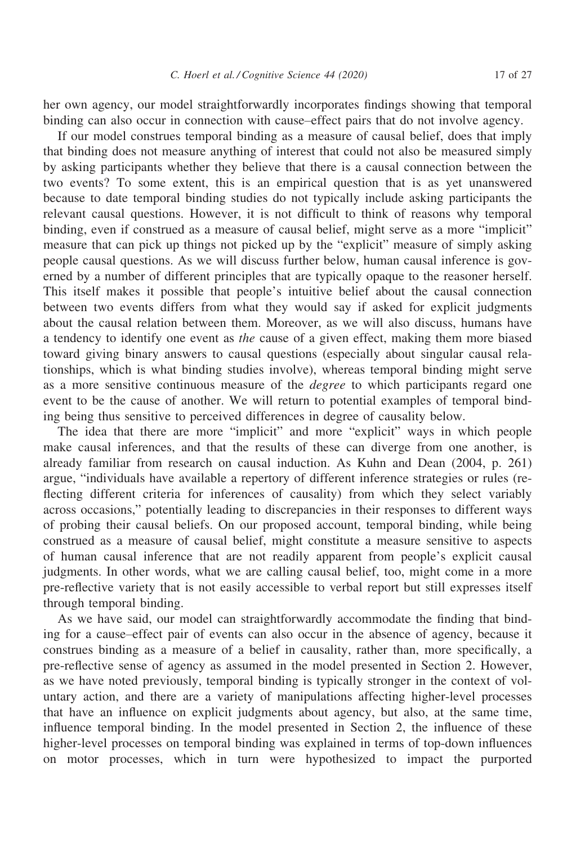her own agency, our model straightforwardly incorporates findings showing that temporal binding can also occur in connection with cause–effect pairs that do not involve agency.

If our model construes temporal binding as a measure of causal belief, does that imply that binding does not measure anything of interest that could not also be measured simply by asking participants whether they believe that there is a causal connection between the two events? To some extent, this is an empirical question that is as yet unanswered because to date temporal binding studies do not typically include asking participants the relevant causal questions. However, it is not difficult to think of reasons why temporal binding, even if construed as a measure of causal belief, might serve as a more "implicit" measure that can pick up things not picked up by the "explicit" measure of simply asking people causal questions. As we will discuss further below, human causal inference is governed by a number of different principles that are typically opaque to the reasoner herself. This itself makes it possible that people's intuitive belief about the causal connection between two events differs from what they would say if asked for explicit judgments about the causal relation between them. Moreover, as we will also discuss, humans have a tendency to identify one event as the cause of a given effect, making them more biased toward giving binary answers to causal questions (especially about singular causal relationships, which is what binding studies involve), whereas temporal binding might serve as a more sensitive continuous measure of the degree to which participants regard one event to be the cause of another. We will return to potential examples of temporal binding being thus sensitive to perceived differences in degree of causality below.

The idea that there are more "implicit" and more "explicit" ways in which people make causal inferences, and that the results of these can diverge from one another, is already familiar from research on causal induction. As Kuhn and Dean (2004, p. 261) argue, "individuals have available a repertory of different inference strategies or rules (reflecting different criteria for inferences of causality) from which they select variably across occasions," potentially leading to discrepancies in their responses to different ways of probing their causal beliefs. On our proposed account, temporal binding, while being construed as a measure of causal belief, might constitute a measure sensitive to aspects of human causal inference that are not readily apparent from people's explicit causal judgments. In other words, what we are calling causal belief, too, might come in a more pre-reflective variety that is not easily accessible to verbal report but still expresses itself through temporal binding.

As we have said, our model can straightforwardly accommodate the finding that binding for a cause–effect pair of events can also occur in the absence of agency, because it construes binding as a measure of a belief in causality, rather than, more specifically, a pre-reflective sense of agency as assumed in the model presented in Section 2. However, as we have noted previously, temporal binding is typically stronger in the context of voluntary action, and there are a variety of manipulations affecting higher-level processes that have an influence on explicit judgments about agency, but also, at the same time, influence temporal binding. In the model presented in Section 2, the influence of these higher-level processes on temporal binding was explained in terms of top-down influences on motor processes, which in turn were hypothesized to impact the purported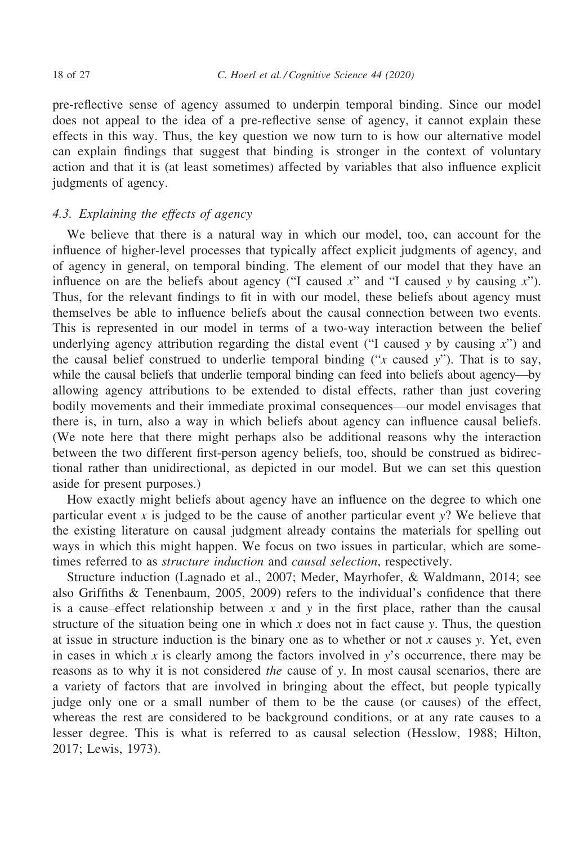pre-reflective sense of agency assumed to underpin temporal binding. Since our model does not appeal to the idea of a pre-reflective sense of agency, it cannot explain these effects in this way. Thus, the key question we now turn to is how our alternative model can explain findings that suggest that binding is stronger in the context of voluntary action and that it is (at least sometimes) affected by variables that also influence explicit judgments of agency.

# 4.3. Explaining the effects of agency

We believe that there is a natural way in which our model, too, can account for the influence of higher-level processes that typically affect explicit judgments of agency, and of agency in general, on temporal binding. The element of our model that they have an influence on are the beliefs about agency ("I caused  $x$ " and "I caused y by causing  $x$ "). Thus, for the relevant findings to fit in with our model, these beliefs about agency must themselves be able to influence beliefs about the causal connection between two events. This is represented in our model in terms of a two-way interaction between the belief underlying agency attribution regarding the distal event ("I caused y by causing  $x$ ") and the causal belief construed to underlie temporal binding ("x caused y"). That is to say, while the causal beliefs that underlie temporal binding can feed into beliefs about agency—by allowing agency attributions to be extended to distal effects, rather than just covering bodily movements and their immediate proximal consequences—our model envisages that there is, in turn, also a way in which beliefs about agency can influence causal beliefs. (We note here that there might perhaps also be additional reasons why the interaction between the two different first-person agency beliefs, too, should be construed as bidirectional rather than unidirectional, as depicted in our model. But we can set this question aside for present purposes.)

How exactly might beliefs about agency have an influence on the degree to which one particular event x is judged to be the cause of another particular event  $y$ ? We believe that the existing literature on causal judgment already contains the materials for spelling out ways in which this might happen. We focus on two issues in particular, which are sometimes referred to as structure induction and causal selection, respectively.

Structure induction (Lagnado et al., 2007; Meder, Mayrhofer, & Waldmann, 2014; see also Griffiths & Tenenbaum, 2005, 2009) refers to the individual's confidence that there is a cause–effect relationship between x and y in the first place, rather than the causal structure of the situation being one in which x does not in fact cause y. Thus, the question at issue in structure induction is the binary one as to whether or not  $x$  causes  $y$ . Yet, even in cases in which x is clearly among the factors involved in  $y$ 's occurrence, there may be reasons as to why it is not considered the cause of y. In most causal scenarios, there are a variety of factors that are involved in bringing about the effect, but people typically judge only one or a small number of them to be the cause (or causes) of the effect, whereas the rest are considered to be background conditions, or at any rate causes to a lesser degree. This is what is referred to as causal selection (Hesslow, 1988; Hilton, 2017; Lewis, 1973).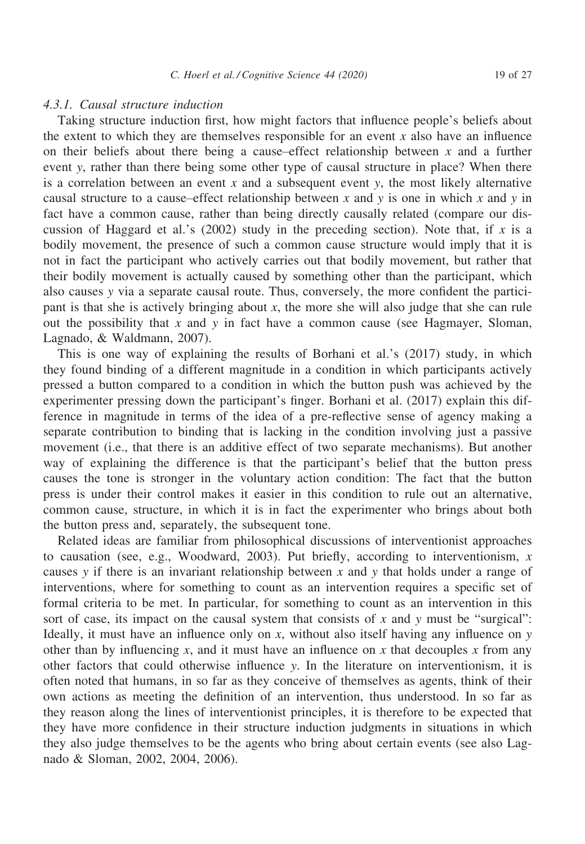## 4.3.1. Causal structure induction

Taking structure induction first, how might factors that influence people's beliefs about the extent to which they are themselves responsible for an event  $x$  also have an influence on their beliefs about there being a cause–effect relationship between  $x$  and a further event y, rather than there being some other type of causal structure in place? When there is a correlation between an event  $x$  and a subsequent event  $y$ , the most likely alternative causal structure to a cause–effect relationship between x and y is one in which x and y in fact have a common cause, rather than being directly causally related (compare our discussion of Haggard et al.'s (2002) study in the preceding section). Note that, if x is a bodily movement, the presence of such a common cause structure would imply that it is not in fact the participant who actively carries out that bodily movement, but rather that their bodily movement is actually caused by something other than the participant, which also causes y via a separate causal route. Thus, conversely, the more confident the participant is that she is actively bringing about  $x$ , the more she will also judge that she can rule out the possibility that  $x$  and  $y$  in fact have a common cause (see Hagmayer, Sloman, Lagnado, & Waldmann, 2007).

This is one way of explaining the results of Borhani et al.'s (2017) study, in which they found binding of a different magnitude in a condition in which participants actively pressed a button compared to a condition in which the button push was achieved by the experimenter pressing down the participant's finger. Borhani et al. (2017) explain this difference in magnitude in terms of the idea of a pre-reflective sense of agency making a separate contribution to binding that is lacking in the condition involving just a passive movement (i.e., that there is an additive effect of two separate mechanisms). But another way of explaining the difference is that the participant's belief that the button press causes the tone is stronger in the voluntary action condition: The fact that the button press is under their control makes it easier in this condition to rule out an alternative, common cause, structure, in which it is in fact the experimenter who brings about both the button press and, separately, the subsequent tone.

Related ideas are familiar from philosophical discussions of interventionist approaches to causation (see, e.g., Woodward, 2003). Put briefly, according to interventionism,  $x$ causes y if there is an invariant relationship between  $x$  and  $y$  that holds under a range of interventions, where for something to count as an intervention requires a specific set of formal criteria to be met. In particular, for something to count as an intervention in this sort of case, its impact on the causal system that consists of x and y must be "surgical": Ideally, it must have an influence only on x, without also itself having any influence on  $y$ other than by influencing x, and it must have an influence on x that decouples x from any other factors that could otherwise influence y. In the literature on interventionism, it is often noted that humans, in so far as they conceive of themselves as agents, think of their own actions as meeting the definition of an intervention, thus understood. In so far as they reason along the lines of interventionist principles, it is therefore to be expected that they have more confidence in their structure induction judgments in situations in which they also judge themselves to be the agents who bring about certain events (see also Lagnado & Sloman, 2002, 2004, 2006).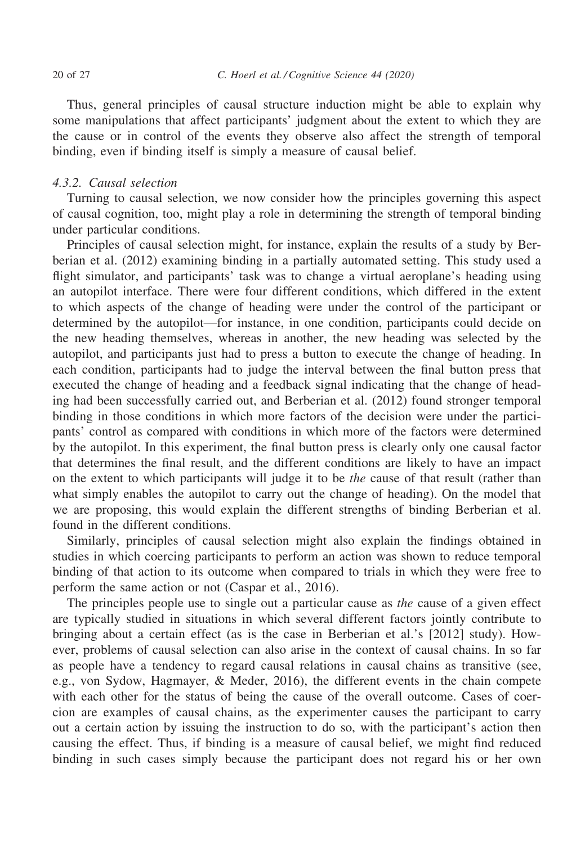Thus, general principles of causal structure induction might be able to explain why some manipulations that affect participants' judgment about the extent to which they are the cause or in control of the events they observe also affect the strength of temporal binding, even if binding itself is simply a measure of causal belief.

## 4.3.2. Causal selection

Turning to causal selection, we now consider how the principles governing this aspect of causal cognition, too, might play a role in determining the strength of temporal binding under particular conditions.

Principles of causal selection might, for instance, explain the results of a study by Berberian et al. (2012) examining binding in a partially automated setting. This study used a flight simulator, and participants' task was to change a virtual aeroplane's heading using an autopilot interface. There were four different conditions, which differed in the extent to which aspects of the change of heading were under the control of the participant or determined by the autopilot—for instance, in one condition, participants could decide on the new heading themselves, whereas in another, the new heading was selected by the autopilot, and participants just had to press a button to execute the change of heading. In each condition, participants had to judge the interval between the final button press that executed the change of heading and a feedback signal indicating that the change of heading had been successfully carried out, and Berberian et al. (2012) found stronger temporal binding in those conditions in which more factors of the decision were under the participants' control as compared with conditions in which more of the factors were determined by the autopilot. In this experiment, the final button press is clearly only one causal factor that determines the final result, and the different conditions are likely to have an impact on the extent to which participants will judge it to be *the* cause of that result (rather than what simply enables the autopilot to carry out the change of heading). On the model that we are proposing, this would explain the different strengths of binding Berberian et al. found in the different conditions.

Similarly, principles of causal selection might also explain the findings obtained in studies in which coercing participants to perform an action was shown to reduce temporal binding of that action to its outcome when compared to trials in which they were free to perform the same action or not (Caspar et al., 2016).

The principles people use to single out a particular cause as *the* cause of a given effect are typically studied in situations in which several different factors jointly contribute to bringing about a certain effect (as is the case in Berberian et al.'s [2012] study). However, problems of causal selection can also arise in the context of causal chains. In so far as people have a tendency to regard causal relations in causal chains as transitive (see, e.g., von Sydow, Hagmayer, & Meder, 2016), the different events in the chain compete with each other for the status of being the cause of the overall outcome. Cases of coercion are examples of causal chains, as the experimenter causes the participant to carry out a certain action by issuing the instruction to do so, with the participant's action then causing the effect. Thus, if binding is a measure of causal belief, we might find reduced binding in such cases simply because the participant does not regard his or her own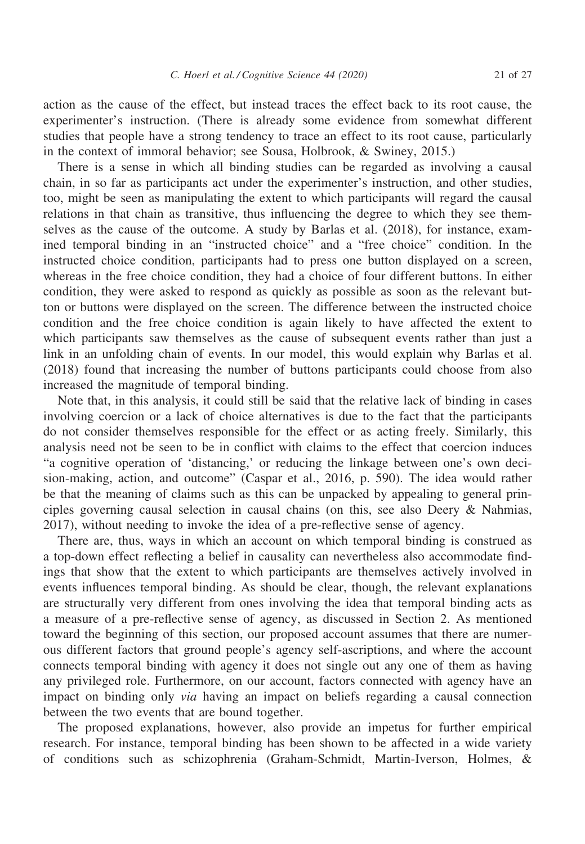action as the cause of the effect, but instead traces the effect back to its root cause, the experimenter's instruction. (There is already some evidence from somewhat different studies that people have a strong tendency to trace an effect to its root cause, particularly in the context of immoral behavior; see Sousa, Holbrook, & Swiney, 2015.)

There is a sense in which all binding studies can be regarded as involving a causal chain, in so far as participants act under the experimenter's instruction, and other studies, too, might be seen as manipulating the extent to which participants will regard the causal relations in that chain as transitive, thus influencing the degree to which they see themselves as the cause of the outcome. A study by Barlas et al. (2018), for instance, examined temporal binding in an "instructed choice" and a "free choice" condition. In the instructed choice condition, participants had to press one button displayed on a screen, whereas in the free choice condition, they had a choice of four different buttons. In either condition, they were asked to respond as quickly as possible as soon as the relevant button or buttons were displayed on the screen. The difference between the instructed choice condition and the free choice condition is again likely to have affected the extent to which participants saw themselves as the cause of subsequent events rather than just a link in an unfolding chain of events. In our model, this would explain why Barlas et al. (2018) found that increasing the number of buttons participants could choose from also increased the magnitude of temporal binding.

Note that, in this analysis, it could still be said that the relative lack of binding in cases involving coercion or a lack of choice alternatives is due to the fact that the participants do not consider themselves responsible for the effect or as acting freely. Similarly, this analysis need not be seen to be in conflict with claims to the effect that coercion induces "a cognitive operation of 'distancing,' or reducing the linkage between one's own decision-making, action, and outcome" (Caspar et al., 2016, p. 590). The idea would rather be that the meaning of claims such as this can be unpacked by appealing to general principles governing causal selection in causal chains (on this, see also Deery  $\&$  Nahmias, 2017), without needing to invoke the idea of a pre-reflective sense of agency.

There are, thus, ways in which an account on which temporal binding is construed as a top-down effect reflecting a belief in causality can nevertheless also accommodate findings that show that the extent to which participants are themselves actively involved in events influences temporal binding. As should be clear, though, the relevant explanations are structurally very different from ones involving the idea that temporal binding acts as a measure of a pre-reflective sense of agency, as discussed in Section 2. As mentioned toward the beginning of this section, our proposed account assumes that there are numerous different factors that ground people's agency self-ascriptions, and where the account connects temporal binding with agency it does not single out any one of them as having any privileged role. Furthermore, on our account, factors connected with agency have an impact on binding only via having an impact on beliefs regarding a causal connection between the two events that are bound together.

The proposed explanations, however, also provide an impetus for further empirical research. For instance, temporal binding has been shown to be affected in a wide variety of conditions such as schizophrenia (Graham-Schmidt, Martin-Iverson, Holmes, &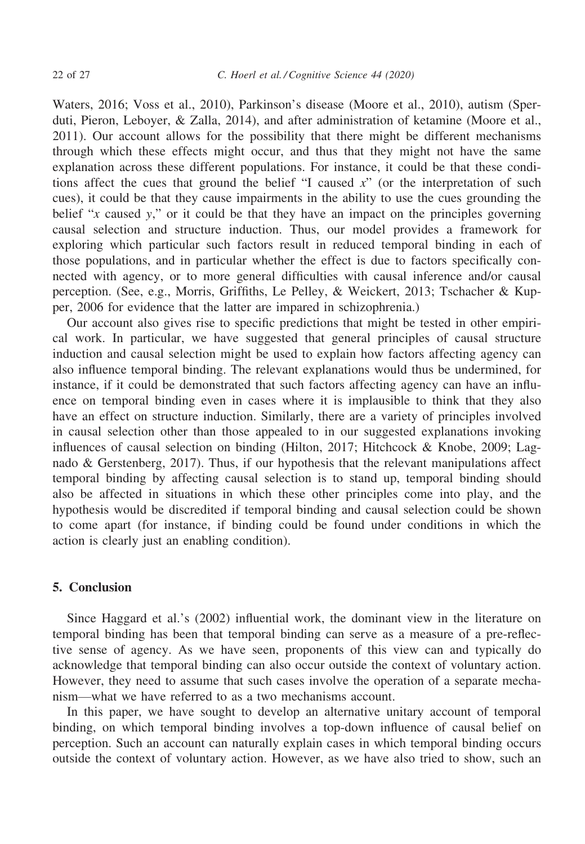Waters, 2016; Voss et al., 2010), Parkinson's disease (Moore et al., 2010), autism (Sperduti, Pieron, Leboyer, & Zalla, 2014), and after administration of ketamine (Moore et al., 2011). Our account allows for the possibility that there might be different mechanisms through which these effects might occur, and thus that they might not have the same explanation across these different populations. For instance, it could be that these conditions affect the cues that ground the belief "I caused  $x$ " (or the interpretation of such cues), it could be that they cause impairments in the ability to use the cues grounding the belief " $x$  caused  $y$ ," or it could be that they have an impact on the principles governing causal selection and structure induction. Thus, our model provides a framework for exploring which particular such factors result in reduced temporal binding in each of those populations, and in particular whether the effect is due to factors specifically connected with agency, or to more general difficulties with causal inference and/or causal perception. (See, e.g., Morris, Griffiths, Le Pelley, & Weickert, 2013; Tschacher & Kupper, 2006 for evidence that the latter are impared in schizophrenia.)

Our account also gives rise to specific predictions that might be tested in other empirical work. In particular, we have suggested that general principles of causal structure induction and causal selection might be used to explain how factors affecting agency can also influence temporal binding. The relevant explanations would thus be undermined, for instance, if it could be demonstrated that such factors affecting agency can have an influence on temporal binding even in cases where it is implausible to think that they also have an effect on structure induction. Similarly, there are a variety of principles involved in causal selection other than those appealed to in our suggested explanations invoking influences of causal selection on binding (Hilton, 2017; Hitchcock & Knobe, 2009; Lagnado & Gerstenberg, 2017). Thus, if our hypothesis that the relevant manipulations affect temporal binding by affecting causal selection is to stand up, temporal binding should also be affected in situations in which these other principles come into play, and the hypothesis would be discredited if temporal binding and causal selection could be shown to come apart (for instance, if binding could be found under conditions in which the action is clearly just an enabling condition).

# 5. Conclusion

Since Haggard et al.'s (2002) influential work, the dominant view in the literature on temporal binding has been that temporal binding can serve as a measure of a pre-reflective sense of agency. As we have seen, proponents of this view can and typically do acknowledge that temporal binding can also occur outside the context of voluntary action. However, they need to assume that such cases involve the operation of a separate mechanism—what we have referred to as a two mechanisms account.

In this paper, we have sought to develop an alternative unitary account of temporal binding, on which temporal binding involves a top-down influence of causal belief on perception. Such an account can naturally explain cases in which temporal binding occurs outside the context of voluntary action. However, as we have also tried to show, such an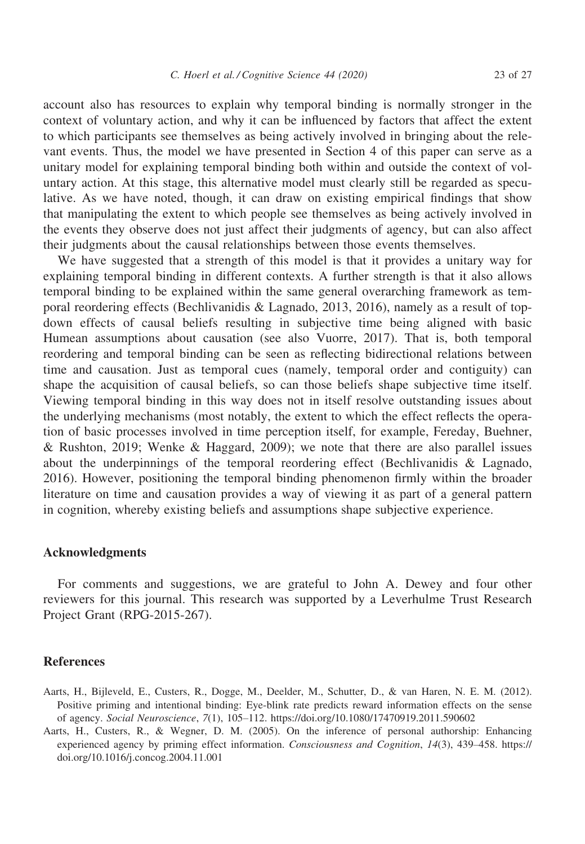account also has resources to explain why temporal binding is normally stronger in the context of voluntary action, and why it can be influenced by factors that affect the extent to which participants see themselves as being actively involved in bringing about the relevant events. Thus, the model we have presented in Section 4 of this paper can serve as a unitary model for explaining temporal binding both within and outside the context of voluntary action. At this stage, this alternative model must clearly still be regarded as speculative. As we have noted, though, it can draw on existing empirical findings that show that manipulating the extent to which people see themselves as being actively involved in the events they observe does not just affect their judgments of agency, but can also affect their judgments about the causal relationships between those events themselves.

We have suggested that a strength of this model is that it provides a unitary way for explaining temporal binding in different contexts. A further strength is that it also allows temporal binding to be explained within the same general overarching framework as temporal reordering effects (Bechlivanidis & Lagnado, 2013, 2016), namely as a result of topdown effects of causal beliefs resulting in subjective time being aligned with basic Humean assumptions about causation (see also Vuorre, 2017). That is, both temporal reordering and temporal binding can be seen as reflecting bidirectional relations between time and causation. Just as temporal cues (namely, temporal order and contiguity) can shape the acquisition of causal beliefs, so can those beliefs shape subjective time itself. Viewing temporal binding in this way does not in itself resolve outstanding issues about the underlying mechanisms (most notably, the extent to which the effect reflects the operation of basic processes involved in time perception itself, for example, Fereday, Buehner, & Rushton, 2019; Wenke & Haggard, 2009); we note that there are also parallel issues about the underpinnings of the temporal reordering effect (Bechlivanidis & Lagnado, 2016). However, positioning the temporal binding phenomenon firmly within the broader literature on time and causation provides a way of viewing it as part of a general pattern in cognition, whereby existing beliefs and assumptions shape subjective experience.

### Acknowledgments

For comments and suggestions, we are grateful to John A. Dewey and four other reviewers for this journal. This research was supported by a Leverhulme Trust Research Project Grant (RPG-2015-267).

#### **References**

- Aarts, H., Bijleveld, E., Custers, R., Dogge, M., Deelder, M., Schutter, D., & van Haren, N. E. M. (2012). Positive priming and intentional binding: Eye-blink rate predicts reward information effects on the sense of agency. Social Neuroscience, 7(1), 105–112.<https://doi.org/10.1080/17470919.2011.590602>
- Aarts, H., Custers, R., & Wegner, D. M. (2005). On the inference of personal authorship: Enhancing experienced agency by priming effect information. Consciousness and Cognition, 14(3), 439–458. [https://](https://doi.org/10.1016/j.concog.2004.11.001) [doi.org/10.1016/j.concog.2004.11.001](https://doi.org/10.1016/j.concog.2004.11.001)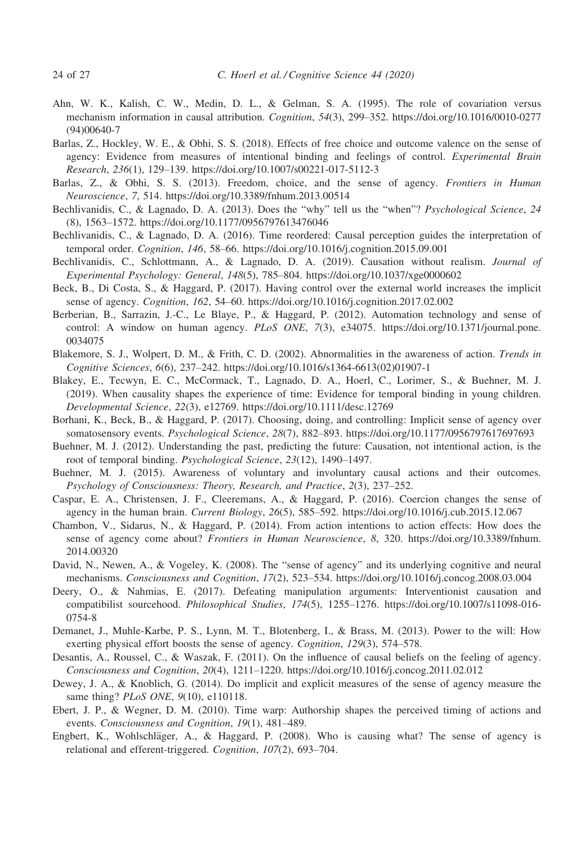- Ahn, W. K., Kalish, C. W., Medin, D. L., & Gelman, S. A. (1995). The role of covariation versus mechanism information in causal attribution. Cognition, 54(3), 299–352. [https://doi.org/10.1016/0010-0277](https://doi.org/10.1016/0010-0277(94)00640-7) [\(94\)00640-7](https://doi.org/10.1016/0010-0277(94)00640-7)
- Barlas, Z., Hockley, W. E., & Obhi, S. S. (2018). Effects of free choice and outcome valence on the sense of agency: Evidence from measures of intentional binding and feelings of control. Experimental Brain Research, 236(1), 129–139.<https://doi.org/10.1007/s00221-017-5112-3>
- Barlas, Z., & Obhi, S. S. (2013). Freedom, choice, and the sense of agency. Frontiers in Human Neuroscience, 7, 514.<https://doi.org/10.3389/fnhum.2013.00514>
- Bechlivanidis, C., & Lagnado, D. A. (2013). Does the "why" tell us the "when"? *Psychological Science*, 24 (8), 1563–1572.<https://doi.org/10.1177/0956797613476046>
- Bechlivanidis, C., & Lagnado, D. A. (2016). Time reordered: Causal perception guides the interpretation of temporal order. Cognition, 146, 58–66.<https://doi.org/10.1016/j.cognition.2015.09.001>
- Bechlivanidis, C., Schlottmann, A., & Lagnado, D. A. (2019). Causation without realism. Journal of Experimental Psychology: General, 148(5), 785–804.<https://doi.org/10.1037/xge0000602>
- Beck, B., Di Costa, S., & Haggard, P. (2017). Having control over the external world increases the implicit sense of agency. Cognition, 162, 54–60.<https://doi.org/10.1016/j.cognition.2017.02.002>
- Berberian, B., Sarrazin, J.-C., Le Blaye, P., & Haggard, P. (2012). Automation technology and sense of control: A window on human agency. PLoS ONE, 7(3), e34075. [https://doi.org/10.1371/journal.pone.](https://doi.org/10.1371/journal.pone.0034075) [0034075](https://doi.org/10.1371/journal.pone.0034075)
- Blakemore, S. J., Wolpert, D. M., & Frith, C. D. (2002). Abnormalities in the awareness of action. Trends in Cognitive Sciences, 6(6), 237–242. [https://doi.org/10.1016/s1364-6613\(02\)01907-1](https://doi.org/10.1016/s1364-6613(02)01907-1)
- Blakey, E., Tecwyn, E. C., McCormack, T., Lagnado, D. A., Hoerl, C., Lorimer, S., & Buehner, M. J. (2019). When causality shapes the experience of time: Evidence for temporal binding in young children. Developmental Science, 22(3), e12769.<https://doi.org/10.1111/desc.12769>
- Borhani, K., Beck, B., & Haggard, P. (2017). Choosing, doing, and controlling: Implicit sense of agency over somatosensory events. Psychological Science, 28(7), 882–893.<https://doi.org/10.1177/0956797617697693>
- Buehner, M. J. (2012). Understanding the past, predicting the future: Causation, not intentional action, is the root of temporal binding. Psychological Science, 23(12), 1490–1497.
- Buehner, M. J. (2015). Awareness of voluntary and involuntary causal actions and their outcomes. Psychology of Consciousness: Theory, Research, and Practice, 2(3), 237–252.
- Caspar, E. A., Christensen, J. F., Cleeremans, A., & Haggard, P. (2016). Coercion changes the sense of agency in the human brain. Current Biology, 26(5), 585–592.<https://doi.org/10.1016/j.cub.2015.12.067>
- Chambon, V., Sidarus, N., & Haggard, P. (2014). From action intentions to action effects: How does the sense of agency come about? Frontiers in Human Neuroscience, 8, 320. [https://doi.org/10.3389/fnhum.](https://doi.org/10.3389/fnhum.2014.00320) [2014.00320](https://doi.org/10.3389/fnhum.2014.00320)
- David, N., Newen, A., & Vogeley, K. (2008). The "sense of agency" and its underlying cognitive and neural mechanisms. Consciousness and Cognition, 17(2), 523–534.<https://doi.org/10.1016/j.concog.2008.03.004>
- Deery, O., & Nahmias, E. (2017). Defeating manipulation arguments: Interventionist causation and compatibilist sourcehood. Philosophical Studies, 174(5), 1255–1276. [https://doi.org/10.1007/s11098-016-](https://doi.org/10.1007/s11098-016-0754-8) [0754-8](https://doi.org/10.1007/s11098-016-0754-8)
- Demanet, J., Muhle-Karbe, P. S., Lynn, M. T., Blotenberg, I., & Brass, M. (2013). Power to the will: How exerting physical effort boosts the sense of agency. *Cognition*, 129(3), 574–578.
- Desantis, A., Roussel, C., & Waszak, F. (2011). On the influence of causal beliefs on the feeling of agency. Consciousness and Cognition, 20(4), 1211–1220.<https://doi.org/10.1016/j.concog.2011.02.012>
- Dewey, J. A., & Knoblich, G. (2014). Do implicit and explicit measures of the sense of agency measure the same thing? *PLoS ONE*, 9(10), e110118.
- Ebert, J. P., & Wegner, D. M. (2010). Time warp: Authorship shapes the perceived timing of actions and events. Consciousness and Cognition, 19(1), 481–489.
- Engbert, K., Wohlschläger, A., & Haggard, P. (2008). Who is causing what? The sense of agency is relational and efferent-triggered. Cognition, 107(2), 693–704.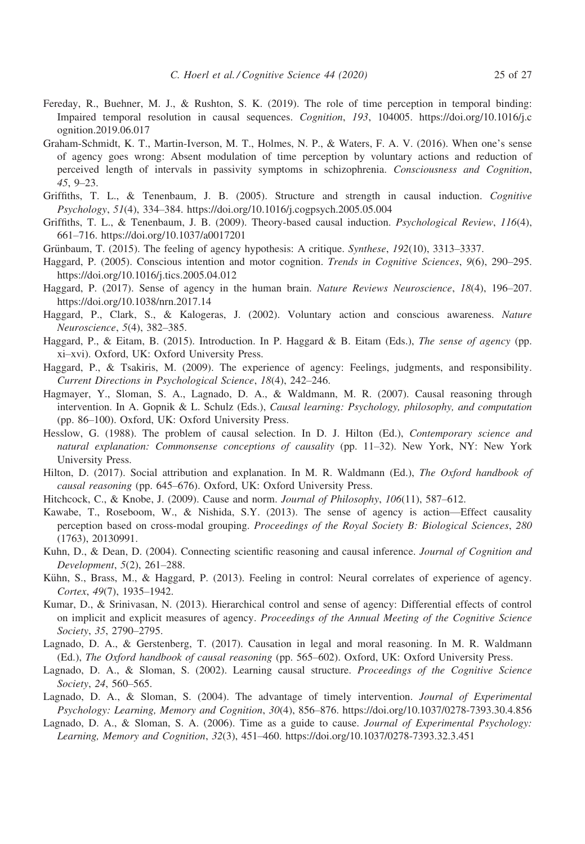- Fereday, R., Buehner, M. J., & Rushton, S. K. (2019). The role of time perception in temporal binding: Impaired temporal resolution in causal sequences. Cognition, 193, 104005. [https://doi.org/10.1016/j.c](https://doi.org/10.1016/j.cognition.2019.06.017) [ognition.2019.06.017](https://doi.org/10.1016/j.cognition.2019.06.017)
- Graham-Schmidt, K. T., Martin-Iverson, M. T., Holmes, N. P., & Waters, F. A. V. (2016). When one's sense of agency goes wrong: Absent modulation of time perception by voluntary actions and reduction of perceived length of intervals in passivity symptoms in schizophrenia. Consciousness and Cognition, 45, 9–23.
- Griffiths, T. L., & Tenenbaum, J. B. (2005). Structure and strength in causal induction. Cognitive Psychology, 51(4), 334–384.<https://doi.org/10.1016/j.cogpsych.2005.05.004>
- Griffiths, T. L., & Tenenbaum, J. B. (2009). Theory-based causal induction. *Psychological Review, 116(4)*, 661–716.<https://doi.org/10.1037/a0017201>
- Grünbaum, T. (2015). The feeling of agency hypothesis: A critique. Synthese,  $192(10)$ , 3313–3337.
- Haggard, P. (2005). Conscious intention and motor cognition. Trends in Cognitive Sciences, 9(6), 290–295. <https://doi.org/10.1016/j.tics.2005.04.012>
- Haggard, P. (2017). Sense of agency in the human brain. Nature Reviews Neuroscience, 18(4), 196–207. <https://doi.org/10.1038/nrn.2017.14>
- Haggard, P., Clark, S., & Kalogeras, J. (2002). Voluntary action and conscious awareness. Nature Neuroscience, 5(4), 382–385.
- Haggard, P., & Eitam, B. (2015). Introduction. In P. Haggard & B. Eitam (Eds.), The sense of agency (pp. xi–xvi). Oxford, UK: Oxford University Press.
- Haggard, P., & Tsakiris, M. (2009). The experience of agency: Feelings, judgments, and responsibility. Current Directions in Psychological Science, 18(4), 242–246.
- Hagmayer, Y., Sloman, S. A., Lagnado, D. A., & Waldmann, M. R. (2007). Causal reasoning through intervention. In A. Gopnik & L. Schulz (Eds.), Causal learning: Psychology, philosophy, and computation (pp. 86–100). Oxford, UK: Oxford University Press.
- Hesslow, G. (1988). The problem of causal selection. In D. J. Hilton (Ed.), Contemporary science and natural explanation: Commonsense conceptions of causality (pp. 11–32). New York, NY: New York University Press.
- Hilton, D. (2017). Social attribution and explanation. In M. R. Waldmann (Ed.), The Oxford handbook of causal reasoning (pp. 645–676). Oxford, UK: Oxford University Press.
- Hitchcock, C., & Knobe, J. (2009). Cause and norm. Journal of Philosophy, 106(11), 587–612.
- Kawabe, T., Roseboom, W., & Nishida, S.Y. (2013). The sense of agency is action—Effect causality perception based on cross-modal grouping. Proceedings of the Royal Society B: Biological Sciences, 280 (1763), 20130991.
- Kuhn, D., & Dean, D. (2004). Connecting scientific reasoning and causal inference. Journal of Cognition and Development, 5(2), 261–288.
- Kühn, S., Brass, M., & Haggard, P. (2013). Feeling in control: Neural correlates of experience of agency. Cortex, 49(7), 1935–1942.
- Kumar, D., & Srinivasan, N. (2013). Hierarchical control and sense of agency: Differential effects of control on implicit and explicit measures of agency. Proceedings of the Annual Meeting of the Cognitive Science Society, 35, 2790–2795.
- Lagnado, D. A., & Gerstenberg, T. (2017). Causation in legal and moral reasoning. In M. R. Waldmann (Ed.), The Oxford handbook of causal reasoning (pp. 565–602). Oxford, UK: Oxford University Press.
- Lagnado, D. A., & Sloman, S. (2002). Learning causal structure. Proceedings of the Cognitive Science Society, 24, 560–565.
- Lagnado, D. A., & Sloman, S. (2004). The advantage of timely intervention. Journal of Experimental Psychology: Learning, Memory and Cognition, 30(4), 856–876.<https://doi.org/10.1037/0278-7393.30.4.856>
- Lagnado, D. A., & Sloman, S. A. (2006). Time as a guide to cause. Journal of Experimental Psychology: Learning, Memory and Cognition, 32(3), 451–460.<https://doi.org/10.1037/0278-7393.32.3.451>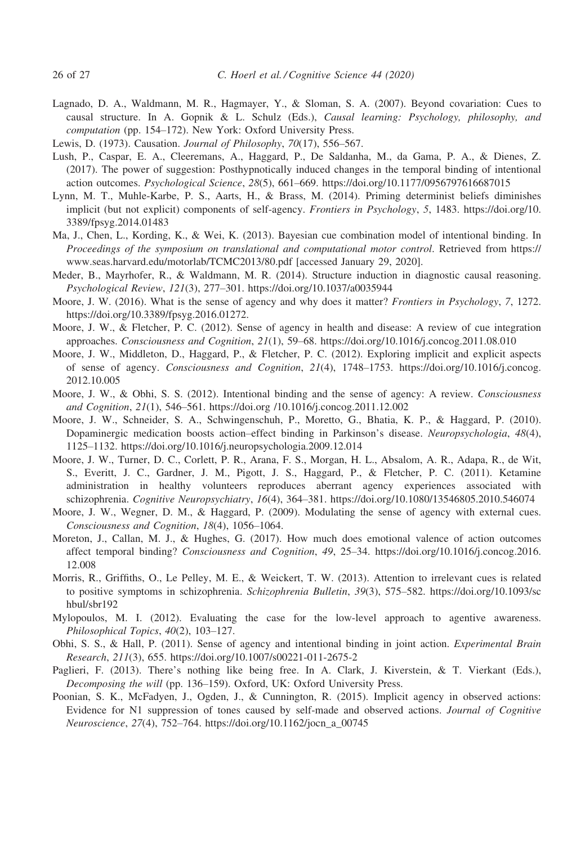- Lagnado, D. A., Waldmann, M. R., Hagmayer, Y., & Sloman, S. A. (2007). Beyond covariation: Cues to causal structure. In A. Gopnik & L. Schulz (Eds.), Causal learning: Psychology, philosophy, and computation (pp. 154–172). New York: Oxford University Press.
- Lewis, D. (1973). Causation. Journal of Philosophy, 70(17), 556–567.
- Lush, P., Caspar, E. A., Cleeremans, A., Haggard, P., De Saldanha, M., da Gama, P. A., & Dienes, Z. (2017). The power of suggestion: Posthypnotically induced changes in the temporal binding of intentional action outcomes. Psychological Science, 28(5), 661–669.<https://doi.org/10.1177/0956797616687015>
- Lynn, M. T., Muhle-Karbe, P. S., Aarts, H., & Brass, M. (2014). Priming determinist beliefs diminishes implicit (but not explicit) components of self-agency. Frontiers in Psychology, 5, 1483. [https://doi.org/10.](https://doi.org/10.3389/fpsyg.2014.01483) [3389/fpsyg.2014.01483](https://doi.org/10.3389/fpsyg.2014.01483)
- Ma, J., Chen, L., Kording, K., & Wei, K. (2013). Bayesian cue combination model of intentional binding. In Proceedings of the symposium on translational and computational motor control. Retrieved from [https://](https://www.seas.harvard.edu/motorlab/TCMC2013/80.pdf) [www.seas.harvard.edu/motorlab/TCMC2013/80.pdf \[accessed January 29, 2020\].](https://www.seas.harvard.edu/motorlab/TCMC2013/80.pdf)
- Meder, B., Mayrhofer, R., & Waldmann, M. R. (2014). Structure induction in diagnostic causal reasoning. Psychological Review, 121(3), 277–301.<https://doi.org/10.1037/a0035944>
- Moore, J. W. (2016). What is the sense of agency and why does it matter? Frontiers in Psychology, 7, 1272. [https://doi.org/10.3389/fpsyg.2016.01272.](https://doi.org/10.3389/fpsyg.2016.01272)
- Moore, J. W., & Fletcher, P. C. (2012). Sense of agency in health and disease: A review of cue integration approaches. Consciousness and Cognition, 21(1), 59–68.<https://doi.org/10.1016/j.concog.2011.08.010>
- Moore, J. W., Middleton, D., Haggard, P., & Fletcher, P. C. (2012). Exploring implicit and explicit aspects of sense of agency. Consciousness and Cognition, 21(4), 1748–1753. [https://doi.org/10.1016/j.concog.](https://doi.org/10.1016/j.concog.2012.10.005) [2012.10.005](https://doi.org/10.1016/j.concog.2012.10.005)
- Moore, J. W., & Obhi, S. S. (2012). Intentional binding and the sense of agency: A review. Consciousness and Cognition, 21(1), 546–561.<https://doi.org /10.1016/j.concog.2011.12.002>
- Moore, J. W., Schneider, S. A., Schwingenschuh, P., Moretto, G., Bhatia, K. P., & Haggard, P. (2010). Dopaminergic medication boosts action–effect binding in Parkinson's disease. Neuropsychologia, 48(4), 1125–1132.<https://doi.org/10.1016/j.neuropsychologia.2009.12.014>
- Moore, J. W., Turner, D. C., Corlett, P. R., Arana, F. S., Morgan, H. L., Absalom, A. R., Adapa, R., de Wit, S., Everitt, J. C., Gardner, J. M., Pigott, J. S., Haggard, P., & Fletcher, P. C. (2011). Ketamine administration in healthy volunteers reproduces aberrant agency experiences associated with schizophrenia. Cognitive Neuropsychiatry, 16(4), 364–381.<https://doi.org/10.1080/13546805.2010.546074>
- Moore, J. W., Wegner, D. M., & Haggard, P. (2009). Modulating the sense of agency with external cues. Consciousness and Cognition, 18(4), 1056–1064.
- Moreton, J., Callan, M. J., & Hughes, G. (2017). How much does emotional valence of action outcomes affect temporal binding? Consciousness and Cognition, 49, 25–34. [https://doi.org/10.1016/j.concog.2016.](https://doi.org/10.1016/j.concog.2016.12.008) [12.008](https://doi.org/10.1016/j.concog.2016.12.008)
- Morris, R., Griffiths, O., Le Pelley, M. E., & Weickert, T. W. (2013). Attention to irrelevant cues is related to positive symptoms in schizophrenia. Schizophrenia Bulletin, 39(3), 575-582. [https://doi.org/10.1093/sc](https://doi.org/10.1093/schbul/sbr192) [hbul/sbr192](https://doi.org/10.1093/schbul/sbr192)
- Mylopoulos, M. I. (2012). Evaluating the case for the low-level approach to agentive awareness. Philosophical Topics, 40(2), 103–127.
- Obhi, S. S., & Hall, P. (2011). Sense of agency and intentional binding in joint action. Experimental Brain Research, 211(3), 655.<https://doi.org/10.1007/s00221-011-2675-2>
- Paglieri, F. (2013). There's nothing like being free. In A. Clark, J. Kiverstein, & T. Vierkant (Eds.), Decomposing the will (pp. 136–159). Oxford, UK: Oxford University Press.
- Poonian, S. K., McFadyen, J., Ogden, J., & Cunnington, R. (2015). Implicit agency in observed actions: Evidence for N1 suppression of tones caused by self-made and observed actions. Journal of Cognitive Neuroscience, 27(4), 752–764. [https://doi.org/10.1162/jocn\\_a\\_00745](https://doi.org/10.1162/jocn_a_00745)